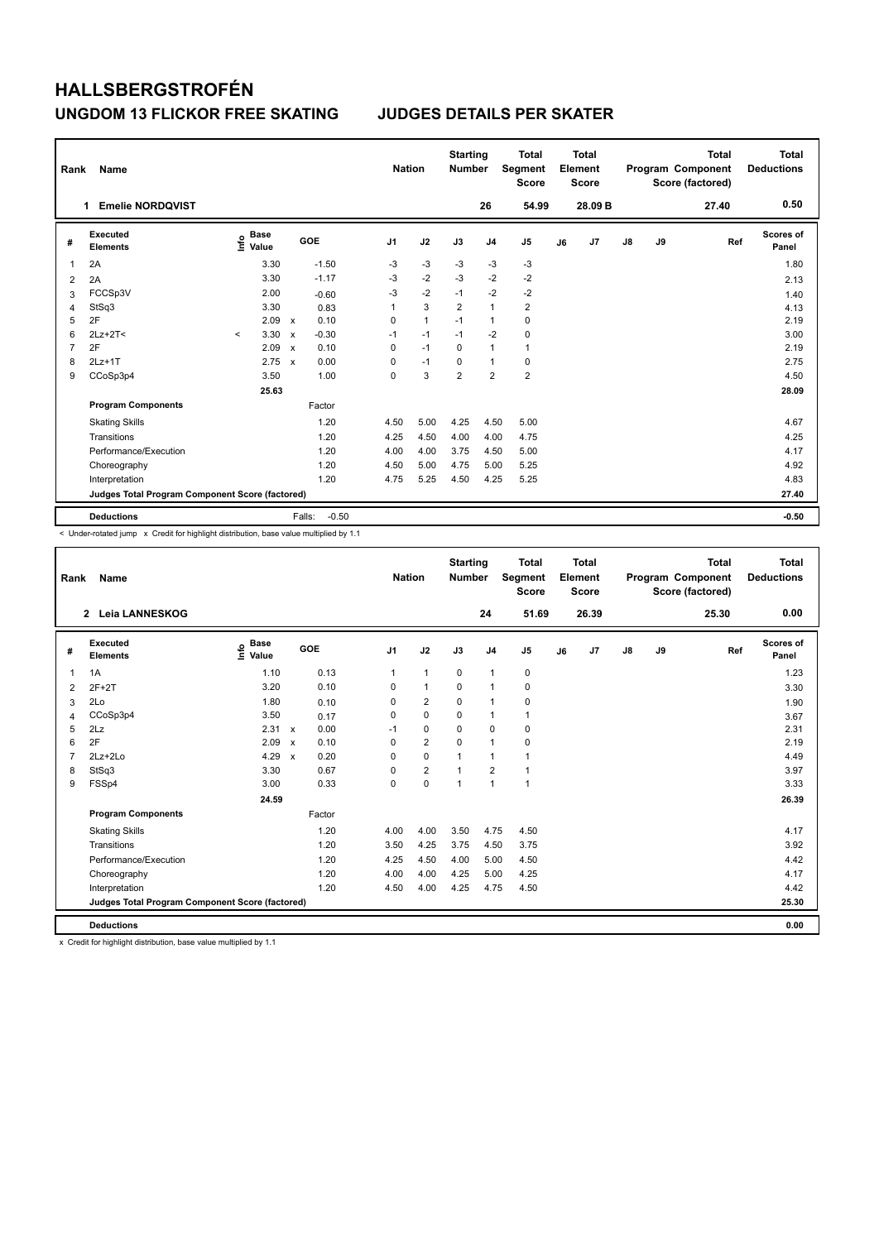| Rank           | Name                                            |         |                                  |                           |         | <b>Nation</b>  |                | <b>Starting</b><br><b>Number</b> |                | <b>Total</b><br><b>Segment</b><br><b>Score</b> |    | <b>Total</b><br>Element<br><b>Score</b> |    |    | <b>Total</b><br>Program Component<br>Score (factored) | Total<br><b>Deductions</b> |
|----------------|-------------------------------------------------|---------|----------------------------------|---------------------------|---------|----------------|----------------|----------------------------------|----------------|------------------------------------------------|----|-----------------------------------------|----|----|-------------------------------------------------------|----------------------------|
|                | <b>Emelie NORDOVIST</b><br>1.                   |         |                                  |                           |         |                |                |                                  | 26             | 54.99                                          |    | 28.09 B                                 |    |    | 27.40                                                 | 0.50                       |
| #              | Executed<br><b>Elements</b>                     |         | <b>Base</b><br>e Base<br>⊆ Value |                           | GOE     | J <sub>1</sub> | J2             | J3                               | J <sub>4</sub> | J <sub>5</sub>                                 | J6 | J7                                      | J8 | J9 | Ref                                                   | <b>Scores of</b><br>Panel  |
| 1              | 2A                                              |         | 3.30                             |                           | $-1.50$ | $-3$           | $-3$           | $-3$                             | $-3$           | $-3$                                           |    |                                         |    |    |                                                       | 1.80                       |
| 2              | 2A                                              |         | 3.30                             |                           | $-1.17$ | $-3$           | $-2$           | $-3$                             | $-2$           | $-2$                                           |    |                                         |    |    |                                                       | 2.13                       |
| 3              | FCCSp3V                                         |         | 2.00                             |                           | $-0.60$ | $-3$           | $-2$           | $-1$                             | $-2$           | $-2$                                           |    |                                         |    |    |                                                       | 1.40                       |
| 4              | StSq3                                           |         | 3.30                             |                           | 0.83    | 1              | 3              | $\overline{2}$                   | $\mathbf{1}$   | $\overline{2}$                                 |    |                                         |    |    |                                                       | 4.13                       |
| 5              | 2F                                              |         | 2.09                             | $\mathsf{x}$              | 0.10    | 0              | $\overline{1}$ | $-1$                             | $\mathbf{1}$   | 0                                              |    |                                         |    |    |                                                       | 2.19                       |
| 6              | $2Lz+2T<$                                       | $\prec$ | 3.30                             | $\boldsymbol{\mathsf{x}}$ | $-0.30$ | $-1$           | $-1$           | $-1$                             | $-2$           | 0                                              |    |                                         |    |    |                                                       | 3.00                       |
| $\overline{7}$ | 2F                                              |         | 2.09                             | $\boldsymbol{\mathsf{x}}$ | 0.10    | 0              | $-1$           | $\Omega$                         | $\mathbf{1}$   | $\mathbf{1}$                                   |    |                                         |    |    |                                                       | 2.19                       |
| 8              | $2Lz+1T$                                        |         | 2.75                             | $\boldsymbol{\mathsf{x}}$ | 0.00    | $\Omega$       | $-1$           | $\mathbf 0$                      | $\mathbf{1}$   | 0                                              |    |                                         |    |    |                                                       | 2.75                       |
| 9              | CCoSp3p4                                        |         | 3.50                             |                           | 1.00    | 0              | 3              | $\overline{2}$                   | $\overline{2}$ | $\overline{2}$                                 |    |                                         |    |    |                                                       | 4.50                       |
|                |                                                 |         | 25.63                            |                           |         |                |                |                                  |                |                                                |    |                                         |    |    |                                                       | 28.09                      |
|                | <b>Program Components</b>                       |         |                                  |                           | Factor  |                |                |                                  |                |                                                |    |                                         |    |    |                                                       |                            |
|                | <b>Skating Skills</b>                           |         |                                  |                           | 1.20    | 4.50           | 5.00           | 4.25                             | 4.50           | 5.00                                           |    |                                         |    |    |                                                       | 4.67                       |
|                | Transitions                                     |         |                                  |                           | 1.20    | 4.25           | 4.50           | 4.00                             | 4.00           | 4.75                                           |    |                                         |    |    |                                                       | 4.25                       |
|                | Performance/Execution                           |         |                                  |                           | 1.20    | 4.00           | 4.00           | 3.75                             | 4.50           | 5.00                                           |    |                                         |    |    |                                                       | 4.17                       |
|                | Choreography                                    |         |                                  |                           | 1.20    | 4.50           | 5.00           | 4.75                             | 5.00           | 5.25                                           |    |                                         |    |    |                                                       | 4.92                       |
|                | Interpretation                                  |         |                                  |                           | 1.20    | 4.75           | 5.25           | 4.50                             | 4.25           | 5.25                                           |    |                                         |    |    |                                                       | 4.83                       |
|                | Judges Total Program Component Score (factored) |         |                                  |                           |         |                |                |                                  |                |                                                |    |                                         |    |    |                                                       | 27.40                      |
|                | <b>Deductions</b>                               |         |                                  | Falls:                    | $-0.50$ |                |                |                                  |                |                                                |    |                                         |    |    |                                                       | $-0.50$                    |

< Under-rotated jump x Credit for highlight distribution, base value multiplied by 1.1

| Rank           | Name                                            |                                  |                                   | <b>Nation</b>  |                | <b>Starting</b><br><b>Number</b> |                | <b>Total</b><br>Segment<br><b>Score</b> |    | <b>Total</b><br>Element<br><b>Score</b> |               |    | <b>Total</b><br>Program Component<br>Score (factored) | <b>Total</b><br><b>Deductions</b> |
|----------------|-------------------------------------------------|----------------------------------|-----------------------------------|----------------|----------------|----------------------------------|----------------|-----------------------------------------|----|-----------------------------------------|---------------|----|-------------------------------------------------------|-----------------------------------|
|                | 2 Leia LANNESKOG                                |                                  |                                   |                |                |                                  | 24             | 51.69                                   |    | 26.39                                   |               |    | 25.30                                                 | 0.00                              |
| #              | Executed<br><b>Elements</b>                     | <b>Base</b><br>e Base<br>⊆ Value | GOE                               | J <sub>1</sub> | J2             | J3                               | J <sub>4</sub> | J <sub>5</sub>                          | J6 | J7                                      | $\mathsf{J}8$ | J9 | Ref                                                   | <b>Scores of</b><br>Panel         |
| 1              | 1A                                              | 1.10                             | 0.13                              | $\mathbf{1}$   | $\mathbf{1}$   | $\mathbf 0$                      | $\mathbf{1}$   | 0                                       |    |                                         |               |    |                                                       | 1.23                              |
| $\overline{2}$ | $2F+2T$                                         | 3.20                             | 0.10                              | $\Omega$       | $\mathbf{1}$   | $\Omega$                         | $\mathbf{1}$   | $\mathbf 0$                             |    |                                         |               |    |                                                       | 3.30                              |
| 3              | 2Lo                                             | 1.80                             | 0.10                              | 0              | $\overline{2}$ | 0                                | $\mathbf{1}$   | 0                                       |    |                                         |               |    |                                                       | 1.90                              |
| $\overline{4}$ | CCoSp3p4                                        | 3.50                             | 0.17                              | 0              | $\mathbf 0$    | $\Omega$                         | $\mathbf{1}$   | 1                                       |    |                                         |               |    |                                                       | 3.67                              |
| 5              | 2Lz                                             | 2.31                             | 0.00<br>$\boldsymbol{\mathsf{x}}$ | $-1$           | $\mathbf 0$    | $\mathbf 0$                      | $\mathbf 0$    | $\mathbf 0$                             |    |                                         |               |    |                                                       | 2.31                              |
| 6              | 2F                                              | 2.09                             | 0.10<br>$\boldsymbol{\mathsf{x}}$ | 0              | $\overline{2}$ | $\Omega$                         | $\mathbf{1}$   | $\mathbf 0$                             |    |                                         |               |    |                                                       | 2.19                              |
| $\overline{7}$ | $2Lz + 2Lo$                                     | 4.29                             | 0.20<br>$\mathbf{x}$              | 0              | $\mathbf 0$    | $\mathbf{1}$                     | $\mathbf{1}$   | 1                                       |    |                                         |               |    |                                                       | 4.49                              |
| 8              | StSq3                                           | 3.30                             | 0.67                              | $\Omega$       | $\overline{2}$ | $\overline{1}$                   | $\overline{2}$ | 1                                       |    |                                         |               |    |                                                       | 3.97                              |
| 9              | FSSp4                                           | 3.00                             | 0.33                              | 0              | $\mathbf 0$    | $\mathbf{1}$                     | $\mathbf{1}$   | 1                                       |    |                                         |               |    |                                                       | 3.33                              |
|                |                                                 | 24.59                            |                                   |                |                |                                  |                |                                         |    |                                         |               |    |                                                       | 26.39                             |
|                | <b>Program Components</b>                       |                                  | Factor                            |                |                |                                  |                |                                         |    |                                         |               |    |                                                       |                                   |
|                | <b>Skating Skills</b>                           |                                  | 1.20                              | 4.00           | 4.00           | 3.50                             | 4.75           | 4.50                                    |    |                                         |               |    |                                                       | 4.17                              |
|                | Transitions                                     |                                  | 1.20                              | 3.50           | 4.25           | 3.75                             | 4.50           | 3.75                                    |    |                                         |               |    |                                                       | 3.92                              |
|                | Performance/Execution                           |                                  | 1.20                              | 4.25           | 4.50           | 4.00                             | 5.00           | 4.50                                    |    |                                         |               |    |                                                       | 4.42                              |
|                | Choreography                                    |                                  | 1.20                              | 4.00           | 4.00           | 4.25                             | 5.00           | 4.25                                    |    |                                         |               |    |                                                       | 4.17                              |
|                | Interpretation                                  |                                  | 1.20                              | 4.50           | 4.00           | 4.25                             | 4.75           | 4.50                                    |    |                                         |               |    |                                                       | 4.42                              |
|                | Judges Total Program Component Score (factored) |                                  |                                   |                |                |                                  |                |                                         |    |                                         |               |    |                                                       | 25.30                             |
|                | <b>Deductions</b>                               |                                  |                                   |                |                |                                  |                |                                         |    |                                         |               |    |                                                       | 0.00                              |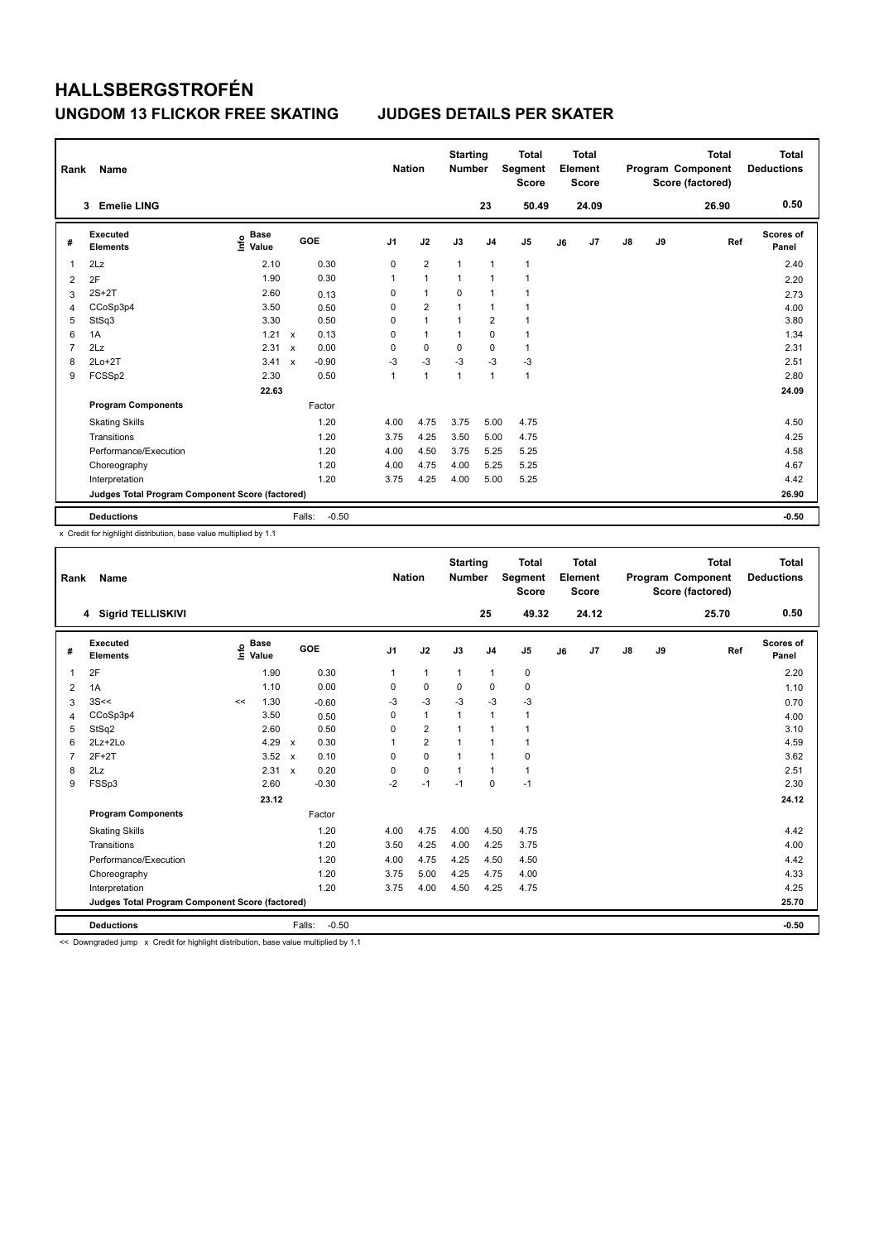| Rank           | Name                                            |                                  |                           |         | <b>Nation</b>  |                | <b>Starting</b><br><b>Number</b> |                         | <b>Total</b><br>Segment<br><b>Score</b> |    | <b>Total</b><br>Element<br><b>Score</b> |               |    | <b>Total</b><br>Program Component<br>Score (factored) | Total<br><b>Deductions</b> |
|----------------|-------------------------------------------------|----------------------------------|---------------------------|---------|----------------|----------------|----------------------------------|-------------------------|-----------------------------------------|----|-----------------------------------------|---------------|----|-------------------------------------------------------|----------------------------|
|                | <b>Emelie LING</b><br>3                         |                                  |                           |         |                |                |                                  | 23                      | 50.49                                   |    | 24.09                                   |               |    | 26.90                                                 | 0.50                       |
| #              | <b>Executed</b><br><b>Elements</b>              | <b>Base</b><br>e Base<br>⊆ Value |                           | GOE     | J <sub>1</sub> | J2             | J3                               | J <sub>4</sub>          | J <sub>5</sub>                          | J6 | J7                                      | $\mathsf{J}8$ | J9 | Ref                                                   | Scores of<br>Panel         |
| 1              | 2Lz                                             | 2.10                             |                           | 0.30    | 0              | $\overline{2}$ | $\overline{1}$                   | $\mathbf{1}$            | $\mathbf{1}$                            |    |                                         |               |    |                                                       | 2.40                       |
| 2              | 2F                                              | 1.90                             |                           | 0.30    | 1              | $\mathbf{1}$   | $\overline{1}$                   | $\overline{1}$          | $\overline{1}$                          |    |                                         |               |    |                                                       | 2.20                       |
| 3              | $2S+2T$                                         | 2.60                             |                           | 0.13    | 0              | $\mathbf{1}$   | 0                                | $\overline{1}$          | 1                                       |    |                                         |               |    |                                                       | 2.73                       |
| 4              | CCoSp3p4                                        | 3.50                             |                           | 0.50    | 0              | $\overline{2}$ | 1                                | $\overline{1}$          |                                         |    |                                         |               |    |                                                       | 4.00                       |
| 5              | StSq3                                           | 3.30                             |                           | 0.50    | 0              | $\mathbf{1}$   | $\overline{1}$                   | $\overline{\mathbf{c}}$ | 1                                       |    |                                         |               |    |                                                       | 3.80                       |
| 6              | 1A                                              | 1.21                             | $\mathsf{x}$              | 0.13    | 0              | $\mathbf{1}$   | 1                                | $\mathbf 0$             | $\mathbf{1}$                            |    |                                         |               |    |                                                       | 1.34                       |
| $\overline{7}$ | 2Lz                                             | 2.31                             | $\boldsymbol{\mathsf{x}}$ | 0.00    | 0              | $\mathbf 0$    | $\Omega$                         | $\mathbf 0$             | $\mathbf{1}$                            |    |                                         |               |    |                                                       | 2.31                       |
| 8              | $2Lo+2T$                                        | 3.41                             | $\boldsymbol{\mathsf{x}}$ | $-0.90$ | $-3$           | $-3$           | $-3$                             | $-3$                    | $-3$                                    |    |                                         |               |    |                                                       | 2.51                       |
| 9              | FCSSp2                                          | 2.30                             |                           | 0.50    | 1              | $\mathbf{1}$   | $\overline{1}$                   | $\overline{1}$          | $\mathbf{1}$                            |    |                                         |               |    |                                                       | 2.80                       |
|                |                                                 | 22.63                            |                           |         |                |                |                                  |                         |                                         |    |                                         |               |    |                                                       | 24.09                      |
|                | <b>Program Components</b>                       |                                  |                           | Factor  |                |                |                                  |                         |                                         |    |                                         |               |    |                                                       |                            |
|                | <b>Skating Skills</b>                           |                                  |                           | 1.20    | 4.00           | 4.75           | 3.75                             | 5.00                    | 4.75                                    |    |                                         |               |    |                                                       | 4.50                       |
|                | Transitions                                     |                                  |                           | 1.20    | 3.75           | 4.25           | 3.50                             | 5.00                    | 4.75                                    |    |                                         |               |    |                                                       | 4.25                       |
|                | Performance/Execution                           |                                  |                           | 1.20    | 4.00           | 4.50           | 3.75                             | 5.25                    | 5.25                                    |    |                                         |               |    |                                                       | 4.58                       |
|                | Choreography                                    |                                  |                           | 1.20    | 4.00           | 4.75           | 4.00                             | 5.25                    | 5.25                                    |    |                                         |               |    |                                                       | 4.67                       |
|                | Interpretation                                  |                                  |                           | 1.20    | 3.75           | 4.25           | 4.00                             | 5.00                    | 5.25                                    |    |                                         |               |    |                                                       | 4.42                       |
|                | Judges Total Program Component Score (factored) |                                  |                           |         |                |                |                                  |                         |                                         |    |                                         |               |    |                                                       | 26.90                      |
|                | <b>Deductions</b>                               |                                  | Falls:                    | $-0.50$ |                |                |                                  |                         |                                         |    |                                         |               |    |                                                       | $-0.50$                    |

x Credit for highlight distribution, base value multiplied by 1.1

| Rank           | Name                                            |                   |               |              |         | <b>Nation</b>  |                | <b>Starting</b><br><b>Number</b> |                | <b>Total</b><br>Segment<br><b>Score</b> |    | <b>Total</b><br>Element<br><b>Score</b> |    |    | <b>Total</b><br>Program Component<br>Score (factored) | <b>Total</b><br><b>Deductions</b> |
|----------------|-------------------------------------------------|-------------------|---------------|--------------|---------|----------------|----------------|----------------------------------|----------------|-----------------------------------------|----|-----------------------------------------|----|----|-------------------------------------------------------|-----------------------------------|
|                | 4 Sigrid TELLISKIVI                             |                   |               |              |         |                |                |                                  | 25             | 49.32                                   |    | 24.12                                   |    |    | 25.70                                                 | 0.50                              |
| #              | Executed<br><b>Elements</b>                     | e Base<br>E Value | <b>Base</b>   | GOE          |         | J <sub>1</sub> | J2             | J3                               | J <sub>4</sub> | J <sub>5</sub>                          | J6 | J7                                      | J8 | J9 | Ref                                                   | <b>Scores of</b><br>Panel         |
| $\mathbf{1}$   | 2F                                              |                   | 1.90          |              | 0.30    | 1              | $\mathbf{1}$   | $\mathbf{1}$                     | $\mathbf{1}$   | 0                                       |    |                                         |    |    |                                                       | 2.20                              |
| 2              | 1A                                              |                   | 1.10          |              | 0.00    | $\Omega$       | $\mathbf 0$    | 0                                | $\mathbf 0$    | 0                                       |    |                                         |    |    |                                                       | 1.10                              |
| 3              | 3S<<                                            | <<                | 1.30          | $-0.60$      |         | $-3$           | $-3$           | $-3$                             | $-3$           | $-3$                                    |    |                                         |    |    |                                                       | 0.70                              |
| $\overline{4}$ | CCoSp3p4                                        |                   | 3.50          |              | 0.50    | 0              | $\mathbf{1}$   | $\mathbf{1}$                     | $\mathbf{1}$   | $\mathbf{1}$                            |    |                                         |    |    |                                                       | 4.00                              |
| 5              | StSq2                                           |                   | 2.60          |              | 0.50    | 0              | $\overline{2}$ | $\mathbf{1}$                     | $\overline{1}$ | 1                                       |    |                                         |    |    |                                                       | 3.10                              |
| 6              | $2Lz+2Lo$                                       |                   | 4.29 $\times$ |              | 0.30    | 1              | $\overline{2}$ | $\mathbf{1}$                     | 1              | 1                                       |    |                                         |    |    |                                                       | 4.59                              |
| $\overline{7}$ | $2F+2T$                                         |                   | 3.52          | $\mathsf{x}$ | 0.10    | 0              | $\mathbf 0$    | $\mathbf{1}$                     | $\overline{1}$ | 0                                       |    |                                         |    |    |                                                       | 3.62                              |
| 8              | 2Lz                                             |                   | 2.31          | $\mathsf{x}$ | 0.20    | 0              | $\mathbf 0$    | $\mathbf{1}$                     | $\mathbf{1}$   | $\mathbf{1}$                            |    |                                         |    |    |                                                       | 2.51                              |
| 9              | FSSp3                                           |                   | 2.60          | $-0.30$      |         | $-2$           | $-1$           | $-1$                             | $\Omega$       | $-1$                                    |    |                                         |    |    |                                                       | 2.30                              |
|                |                                                 |                   | 23.12         |              |         |                |                |                                  |                |                                         |    |                                         |    |    |                                                       | 24.12                             |
|                | <b>Program Components</b>                       |                   |               | Factor       |         |                |                |                                  |                |                                         |    |                                         |    |    |                                                       |                                   |
|                | <b>Skating Skills</b>                           |                   |               |              | 1.20    | 4.00           | 4.75           | 4.00                             | 4.50           | 4.75                                    |    |                                         |    |    |                                                       | 4.42                              |
|                | Transitions                                     |                   |               |              | 1.20    | 3.50           | 4.25           | 4.00                             | 4.25           | 3.75                                    |    |                                         |    |    |                                                       | 4.00                              |
|                | Performance/Execution                           |                   |               |              | 1.20    | 4.00           | 4.75           | 4.25                             | 4.50           | 4.50                                    |    |                                         |    |    |                                                       | 4.42                              |
|                | Choreography                                    |                   |               |              | 1.20    | 3.75           | 5.00           | 4.25                             | 4.75           | 4.00                                    |    |                                         |    |    |                                                       | 4.33                              |
|                | Interpretation                                  |                   |               |              | 1.20    | 3.75           | 4.00           | 4.50                             | 4.25           | 4.75                                    |    |                                         |    |    |                                                       | 4.25                              |
|                | Judges Total Program Component Score (factored) |                   |               |              |         |                |                |                                  |                |                                         |    |                                         |    |    |                                                       | 25.70                             |
|                | <b>Deductions</b>                               |                   |               | Falls:       | $-0.50$ |                |                |                                  |                |                                         |    |                                         |    |    |                                                       | $-0.50$                           |

<< Downgraded jump x Credit for highlight distribution, base value multiplied by 1.1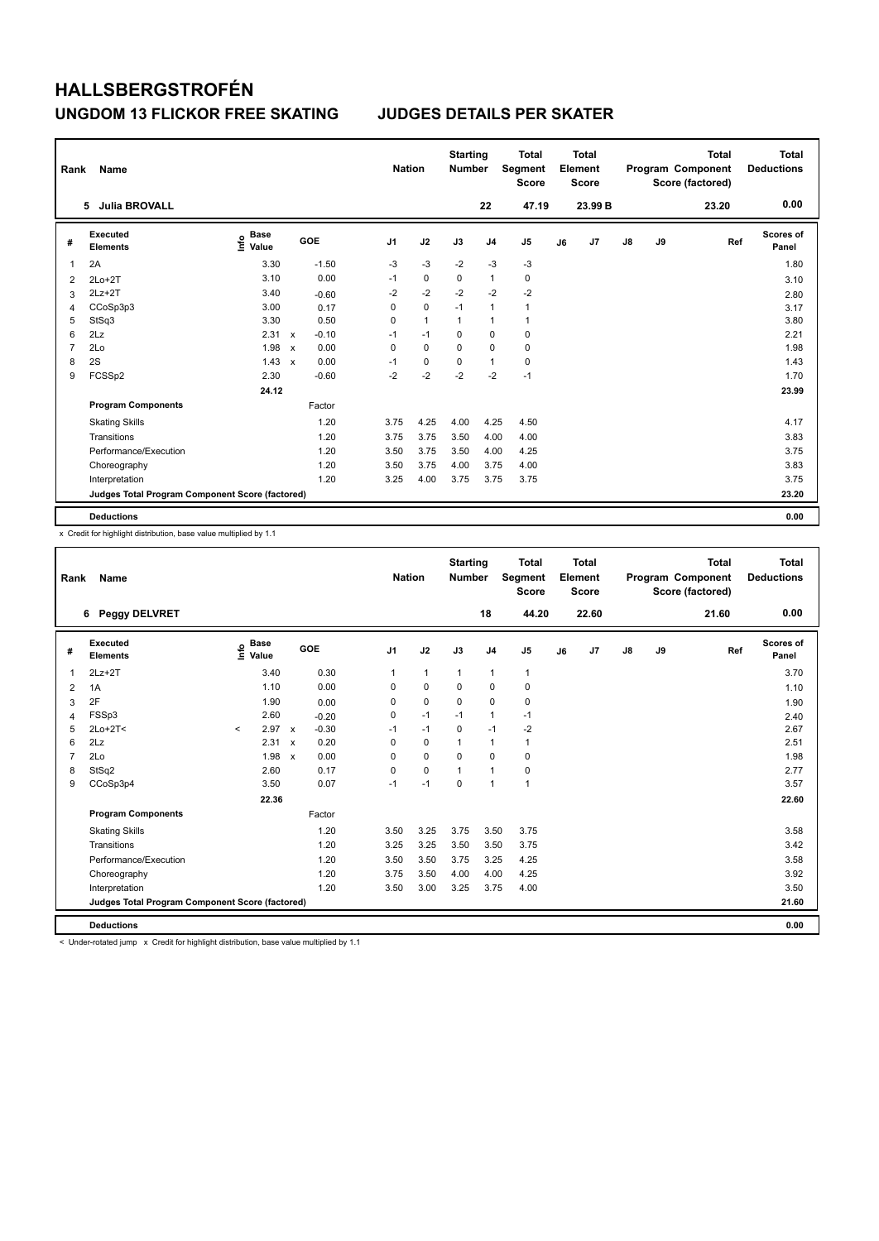| Rank | Name                                            |                                  |              |         |                | <b>Nation</b> | <b>Starting</b><br><b>Number</b> |                | <b>Total</b><br>Segment<br><b>Score</b> |    | Total<br>Element<br>Score |               |    | <b>Total</b><br>Program Component<br>Score (factored) | <b>Total</b><br><b>Deductions</b> |
|------|-------------------------------------------------|----------------------------------|--------------|---------|----------------|---------------|----------------------------------|----------------|-----------------------------------------|----|---------------------------|---------------|----|-------------------------------------------------------|-----------------------------------|
|      | <b>Julia BROVALL</b><br>5                       |                                  |              |         |                |               |                                  | 22             | 47.19                                   |    | 23.99 B                   |               |    | 23.20                                                 | 0.00                              |
| #    | <b>Executed</b><br><b>Elements</b>              | <b>Base</b><br>e Base<br>⊆ Value |              | GOE     | J <sub>1</sub> | J2            | J3                               | J <sub>4</sub> | J <sub>5</sub>                          | J6 | J7                        | $\mathsf{J}8$ | J9 | Ref                                                   | Scores of<br>Panel                |
| 1    | 2A                                              | 3.30                             |              | $-1.50$ | $-3$           | $-3$          | $-2$                             | $-3$           | -3                                      |    |                           |               |    |                                                       | 1.80                              |
| 2    | $2Lo+2T$                                        | 3.10                             |              | 0.00    | $-1$           | $\mathbf 0$   | $\Omega$                         | $\mathbf{1}$   | 0                                       |    |                           |               |    |                                                       | 3.10                              |
| 3    | $2Lz + 2T$                                      | 3.40                             |              | $-0.60$ | $-2$           | $-2$          | $-2$                             | $-2$           | $-2$                                    |    |                           |               |    |                                                       | 2.80                              |
| 4    | CCoSp3p3                                        | 3.00                             |              | 0.17    | 0              | $\mathbf 0$   | $-1$                             | $\mathbf{1}$   | $\mathbf{1}$                            |    |                           |               |    |                                                       | 3.17                              |
| 5    | StSq3                                           | 3.30                             |              | 0.50    | 0              | $\mathbf{1}$  | 1                                | $\mathbf{1}$   | $\mathbf{1}$                            |    |                           |               |    |                                                       | 3.80                              |
| 6    | 2Lz                                             | 2.31                             | $\mathsf{x}$ | $-0.10$ | $-1$           | $-1$          | $\mathbf 0$                      | $\mathbf 0$    | $\mathbf 0$                             |    |                           |               |    |                                                       | 2.21                              |
| 7    | 2Lo                                             | 1.98                             | $\mathsf{x}$ | 0.00    | 0              | $\mathbf 0$   | 0                                | $\mathbf 0$    | 0                                       |    |                           |               |    |                                                       | 1.98                              |
| 8    | 2S                                              | 1.43                             | $\mathsf{x}$ | 0.00    | $-1$           | 0             | 0                                | $\mathbf 1$    | 0                                       |    |                           |               |    |                                                       | 1.43                              |
| 9    | FCSSp2                                          | 2.30                             |              | $-0.60$ | $-2$           | $-2$          | $-2$                             | $-2$           | $-1$                                    |    |                           |               |    |                                                       | 1.70                              |
|      |                                                 | 24.12                            |              |         |                |               |                                  |                |                                         |    |                           |               |    |                                                       | 23.99                             |
|      | <b>Program Components</b>                       |                                  |              | Factor  |                |               |                                  |                |                                         |    |                           |               |    |                                                       |                                   |
|      | <b>Skating Skills</b>                           |                                  |              | 1.20    | 3.75           | 4.25          | 4.00                             | 4.25           | 4.50                                    |    |                           |               |    |                                                       | 4.17                              |
|      | Transitions                                     |                                  |              | 1.20    | 3.75           | 3.75          | 3.50                             | 4.00           | 4.00                                    |    |                           |               |    |                                                       | 3.83                              |
|      | Performance/Execution                           |                                  |              | 1.20    | 3.50           | 3.75          | 3.50                             | 4.00           | 4.25                                    |    |                           |               |    |                                                       | 3.75                              |
|      | Choreography                                    |                                  |              | 1.20    | 3.50           | 3.75          | 4.00                             | 3.75           | 4.00                                    |    |                           |               |    |                                                       | 3.83                              |
|      | Interpretation                                  |                                  |              | 1.20    | 3.25           | 4.00          | 3.75                             | 3.75           | 3.75                                    |    |                           |               |    |                                                       | 3.75                              |
|      | Judges Total Program Component Score (factored) |                                  |              |         |                |               |                                  |                |                                         |    |                           |               |    |                                                       | 23.20                             |
|      | <b>Deductions</b>                               |                                  |              |         |                |               |                                  |                |                                         |    |                           |               |    |                                                       | 0.00                              |

x Credit for highlight distribution, base value multiplied by 1.1

| Rank           | Name                                            |         |                                  |                           |         |                | <b>Nation</b>  |              | <b>Starting</b><br><b>Number</b> |                | <b>Total</b><br>Segment<br><b>Score</b> |    | <b>Total</b><br>Element<br><b>Score</b> |    |    | <b>Total</b><br>Program Component<br>Score (factored) | <b>Total</b><br><b>Deductions</b> |
|----------------|-------------------------------------------------|---------|----------------------------------|---------------------------|---------|----------------|----------------|--------------|----------------------------------|----------------|-----------------------------------------|----|-----------------------------------------|----|----|-------------------------------------------------------|-----------------------------------|
|                | 6 Peggy DELVRET                                 |         |                                  |                           |         |                |                |              |                                  | 18             | 44.20                                   |    | 22.60                                   |    |    | 21.60                                                 | 0.00                              |
| #              | Executed<br><b>Elements</b>                     |         | <b>Base</b><br>e Base<br>⊆ Value |                           | GOE     | J <sub>1</sub> | J2             | J3           |                                  | J <sub>4</sub> | J <sub>5</sub>                          | J6 | J7                                      | J8 | J9 | Ref                                                   | Scores of<br>Panel                |
| 1              | $2Lz+2T$                                        |         | 3.40                             |                           | 0.30    | $\mathbf{1}$   | $\overline{1}$ | $\mathbf{1}$ |                                  | $\mathbf{1}$   | $\mathbf{1}$                            |    |                                         |    |    |                                                       | 3.70                              |
| 2              | 1A                                              |         | 1.10                             |                           | 0.00    | 0              | $\mathbf 0$    | $\mathbf 0$  |                                  | $\mathbf 0$    | $\mathbf 0$                             |    |                                         |    |    |                                                       | 1.10                              |
| 3              | 2F                                              |         | 1.90                             |                           | 0.00    | 0              | $\mathbf 0$    | 0            |                                  | $\mathbf 0$    | 0                                       |    |                                         |    |    |                                                       | 1.90                              |
| 4              | FSSp3                                           |         | 2.60                             |                           | $-0.20$ | 0              | $-1$           | $-1$         |                                  | $\mathbf{1}$   | $-1$                                    |    |                                         |    |    |                                                       | 2.40                              |
| 5              | $2Lo+2T<$                                       | $\prec$ | 2.97                             | $\mathsf{x}$              | $-0.30$ | $-1$           | $-1$           | $\mathbf 0$  |                                  | $-1$           | $-2$                                    |    |                                         |    |    |                                                       | 2.67                              |
| 6              | 2Lz                                             |         | 2.31                             | $\boldsymbol{\mathsf{x}}$ | 0.20    | 0              | 0              | 1            |                                  | $\mathbf{1}$   | $\mathbf{1}$                            |    |                                         |    |    |                                                       | 2.51                              |
| $\overline{7}$ | 2Lo                                             |         | 1.98                             | $\boldsymbol{\mathsf{x}}$ | 0.00    | 0              | $\mathbf 0$    | $\mathbf 0$  |                                  | $\mathbf 0$    | $\pmb{0}$                               |    |                                         |    |    |                                                       | 1.98                              |
| 8              | StSq2                                           |         | 2.60                             |                           | 0.17    | $\Omega$       | $\mathbf 0$    | $\mathbf{1}$ |                                  | $\mathbf{1}$   | 0                                       |    |                                         |    |    |                                                       | 2.77                              |
| 9              | CCoSp3p4                                        |         | 3.50                             |                           | 0.07    | $-1$           | $-1$           | $\mathbf 0$  |                                  | $\overline{1}$ | $\mathbf{1}$                            |    |                                         |    |    |                                                       | 3.57                              |
|                |                                                 |         | 22.36                            |                           |         |                |                |              |                                  |                |                                         |    |                                         |    |    |                                                       | 22.60                             |
|                | <b>Program Components</b>                       |         |                                  |                           | Factor  |                |                |              |                                  |                |                                         |    |                                         |    |    |                                                       |                                   |
|                | <b>Skating Skills</b>                           |         |                                  |                           | 1.20    | 3.50           | 3.25           | 3.75         |                                  | 3.50           | 3.75                                    |    |                                         |    |    |                                                       | 3.58                              |
|                | Transitions                                     |         |                                  |                           | 1.20    | 3.25           | 3.25           | 3.50         |                                  | 3.50           | 3.75                                    |    |                                         |    |    |                                                       | 3.42                              |
|                | Performance/Execution                           |         |                                  |                           | 1.20    | 3.50           | 3.50           | 3.75         |                                  | 3.25           | 4.25                                    |    |                                         |    |    |                                                       | 3.58                              |
|                | Choreography                                    |         |                                  |                           | 1.20    | 3.75           | 3.50           | 4.00         |                                  | 4.00           | 4.25                                    |    |                                         |    |    |                                                       | 3.92                              |
|                | Interpretation                                  |         |                                  |                           | 1.20    | 3.50           | 3.00           | 3.25         |                                  | 3.75           | 4.00                                    |    |                                         |    |    |                                                       | 3.50                              |
|                | Judges Total Program Component Score (factored) |         |                                  |                           |         |                |                |              |                                  |                |                                         |    |                                         |    |    |                                                       | 21.60                             |
|                | <b>Deductions</b>                               |         |                                  |                           |         |                |                |              |                                  |                |                                         |    |                                         |    |    |                                                       | 0.00                              |

< Under-rotated jump x Credit for highlight distribution, base value multiplied by 1.1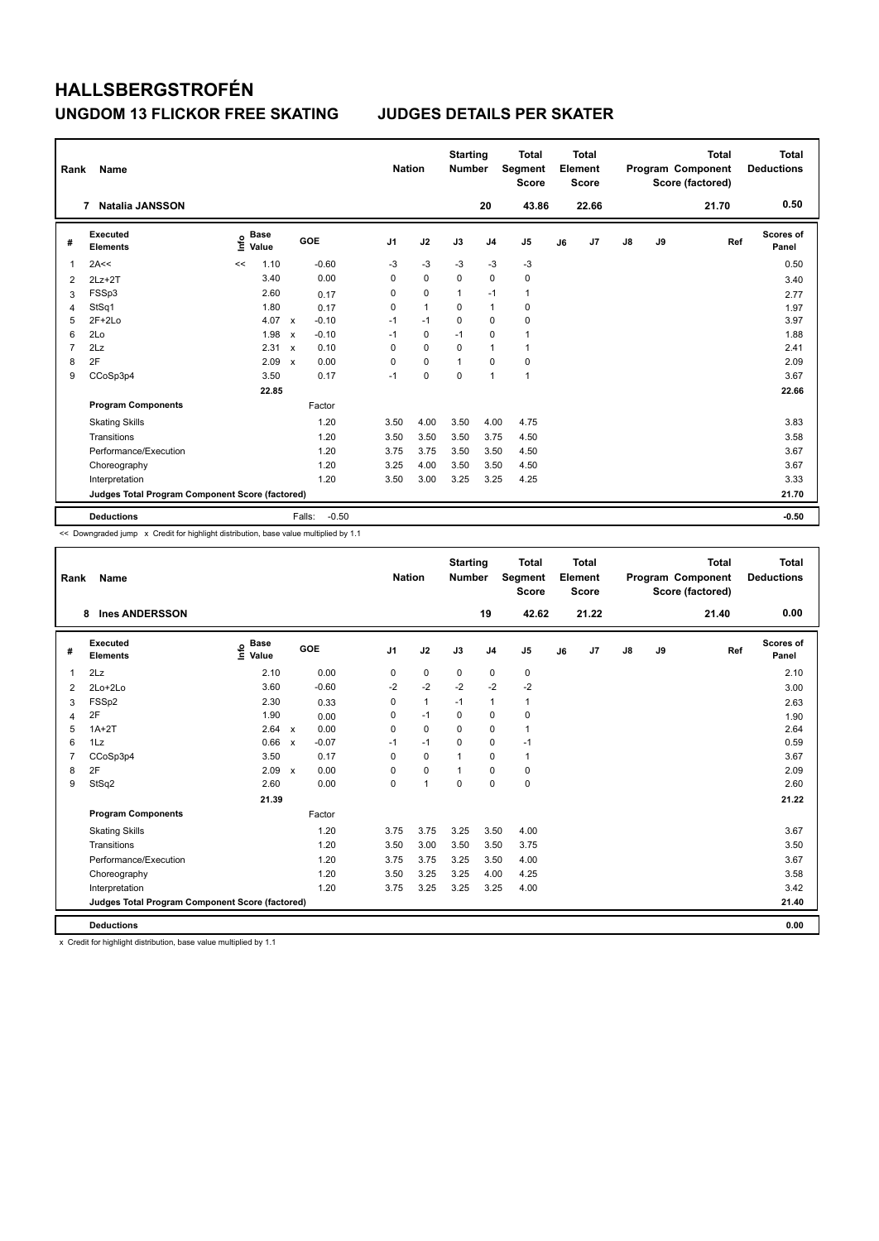| Rank           | Name                                            |                              |                           |         | <b>Nation</b>  |                | <b>Starting</b><br><b>Number</b> |                | <b>Total</b><br>Segment<br><b>Score</b> |    | <b>Total</b><br>Element<br>Score |               |    | <b>Total</b><br>Program Component<br>Score (factored) | <b>Total</b><br><b>Deductions</b> |
|----------------|-------------------------------------------------|------------------------------|---------------------------|---------|----------------|----------------|----------------------------------|----------------|-----------------------------------------|----|----------------------------------|---------------|----|-------------------------------------------------------|-----------------------------------|
|                | <b>Natalia JANSSON</b><br>7                     |                              |                           |         |                |                |                                  | 20             | 43.86                                   |    | 22.66                            |               |    | 21.70                                                 | 0.50                              |
| #              | Executed<br><b>Elements</b>                     | <b>Base</b><br>lnfo<br>Value |                           | GOE     | J <sub>1</sub> | J2             | J3                               | J <sub>4</sub> | J <sub>5</sub>                          | J6 | J7                               | $\mathsf{J}8$ | J9 | Ref                                                   | <b>Scores of</b><br>Panel         |
| 1              | 2A<<                                            | 1.10<br><<                   |                           | $-0.60$ | -3             | $-3$           | -3                               | -3             | $-3$                                    |    |                                  |               |    |                                                       | 0.50                              |
| 2              | $2Lz+2T$                                        | 3.40                         |                           | 0.00    | 0              | $\mathbf 0$    | $\mathbf 0$                      | $\mathbf 0$    | 0                                       |    |                                  |               |    |                                                       | 3.40                              |
| 3              | FSSp3                                           | 2.60                         |                           | 0.17    | 0              | $\mathbf 0$    | $\mathbf{1}$                     | $-1$           | $\mathbf{1}$                            |    |                                  |               |    |                                                       | 2.77                              |
| 4              | StSq1                                           | 1.80                         |                           | 0.17    | 0              | $\overline{1}$ | $\Omega$                         | $\mathbf{1}$   | 0                                       |    |                                  |               |    |                                                       | 1.97                              |
| 5              | $2F+2Lo$                                        | 4.07                         | $\boldsymbol{\mathsf{x}}$ | $-0.10$ | $-1$           | $-1$           | $\mathbf 0$                      | $\mathbf 0$    | 0                                       |    |                                  |               |    |                                                       | 3.97                              |
| 6              | 2Lo                                             | 1.98                         | $\boldsymbol{\mathsf{x}}$ | $-0.10$ | $-1$           | 0              | $-1$                             | $\mathbf 0$    | $\mathbf{1}$                            |    |                                  |               |    |                                                       | 1.88                              |
| $\overline{7}$ | 2Lz                                             | 2.31                         | $\boldsymbol{\mathsf{x}}$ | 0.10    | 0              | 0              | 0                                | $\mathbf{1}$   | $\mathbf{1}$                            |    |                                  |               |    |                                                       | 2.41                              |
| 8              | 2F                                              | 2.09                         | $\mathbf x$               | 0.00    | 0              | $\mathbf 0$    | $\overline{1}$                   | $\mathbf 0$    | $\mathbf 0$                             |    |                                  |               |    |                                                       | 2.09                              |
| 9              | CCoSp3p4                                        | 3.50                         |                           | 0.17    | $-1$           | $\mathbf 0$    | $\mathbf 0$                      | $\overline{1}$ | $\mathbf{1}$                            |    |                                  |               |    |                                                       | 3.67                              |
|                |                                                 | 22.85                        |                           |         |                |                |                                  |                |                                         |    |                                  |               |    |                                                       | 22.66                             |
|                | <b>Program Components</b>                       |                              |                           | Factor  |                |                |                                  |                |                                         |    |                                  |               |    |                                                       |                                   |
|                | <b>Skating Skills</b>                           |                              |                           | 1.20    | 3.50           | 4.00           | 3.50                             | 4.00           | 4.75                                    |    |                                  |               |    |                                                       | 3.83                              |
|                | Transitions                                     |                              |                           | 1.20    | 3.50           | 3.50           | 3.50                             | 3.75           | 4.50                                    |    |                                  |               |    |                                                       | 3.58                              |
|                | Performance/Execution                           |                              |                           | 1.20    | 3.75           | 3.75           | 3.50                             | 3.50           | 4.50                                    |    |                                  |               |    |                                                       | 3.67                              |
|                | Choreography                                    |                              |                           | 1.20    | 3.25           | 4.00           | 3.50                             | 3.50           | 4.50                                    |    |                                  |               |    |                                                       | 3.67                              |
|                | Interpretation                                  |                              |                           | 1.20    | 3.50           | 3.00           | 3.25                             | 3.25           | 4.25                                    |    |                                  |               |    |                                                       | 3.33                              |
|                | Judges Total Program Component Score (factored) |                              |                           |         |                |                |                                  |                |                                         |    |                                  |               |    |                                                       | 21.70                             |
|                | <b>Deductions</b>                               |                              | Falls:                    | $-0.50$ |                |                |                                  |                |                                         |    |                                  |               |    |                                                       | $-0.50$                           |

<< Downgraded jump x Credit for highlight distribution, base value multiplied by 1.1

| Rank           | <b>Name</b>                                     |                                  |              |         |                | <b>Nation</b> | <b>Starting</b><br><b>Number</b> |                | <b>Total</b><br>Segment<br><b>Score</b> |    | <b>Total</b><br>Element<br><b>Score</b> |               |    | <b>Total</b><br>Program Component<br>Score (factored) | <b>Total</b><br><b>Deductions</b> |
|----------------|-------------------------------------------------|----------------------------------|--------------|---------|----------------|---------------|----------------------------------|----------------|-----------------------------------------|----|-----------------------------------------|---------------|----|-------------------------------------------------------|-----------------------------------|
|                | <b>Ines ANDERSSON</b><br>8                      |                                  |              |         |                |               |                                  | 19             | 42.62                                   |    | 21.22                                   |               |    | 21.40                                                 | 0.00                              |
| #              | Executed<br><b>Elements</b>                     | <b>Base</b><br>e Base<br>⊆ Value | GOE          |         | J <sub>1</sub> | J2            | J3                               | J <sub>4</sub> | J <sub>5</sub>                          | J6 | J7                                      | $\mathsf{J}8$ | J9 | Ref                                                   | <b>Scores of</b><br>Panel         |
| 1              | 2Lz                                             | 2.10                             |              | 0.00    | 0              | $\pmb{0}$     | $\mathbf 0$                      | $\pmb{0}$      | 0                                       |    |                                         |               |    |                                                       | 2.10                              |
| $\overline{2}$ | $2Lo+2Lo$                                       | 3.60                             |              | $-0.60$ | $-2$           | $-2$          | $-2$                             | $-2$           | $-2$                                    |    |                                         |               |    |                                                       | 3.00                              |
| 3              | FSSp2                                           | 2.30                             |              | 0.33    | 0              | $\mathbf{1}$  | $-1$                             | $\mathbf{1}$   | 1                                       |    |                                         |               |    |                                                       | 2.63                              |
| $\overline{4}$ | 2F                                              | 1.90                             |              | 0.00    | 0              | $-1$          | $\mathbf 0$                      | $\pmb{0}$      | 0                                       |    |                                         |               |    |                                                       | 1.90                              |
| 5              | $1A+2T$                                         | 2.64                             | $\mathsf{x}$ | 0.00    | 0              | $\mathbf 0$   | 0                                | $\mathbf 0$    | 1                                       |    |                                         |               |    |                                                       | 2.64                              |
| 6              | 1Lz                                             | 0.66                             | $\mathsf{x}$ | $-0.07$ | $-1$           | $-1$          | $\Omega$                         | 0              | $-1$                                    |    |                                         |               |    |                                                       | 0.59                              |
| $\overline{7}$ | CCoSp3p4                                        | 3.50                             |              | 0.17    | $\Omega$       | $\mathbf 0$   | $\mathbf{1}$                     | $\mathbf 0$    | 1                                       |    |                                         |               |    |                                                       | 3.67                              |
| 8              | 2F                                              | 2.09                             | $\mathsf{x}$ | 0.00    | $\Omega$       | $\mathbf 0$   | $\mathbf{1}$                     | $\mathbf 0$    | $\mathbf 0$                             |    |                                         |               |    |                                                       | 2.09                              |
| 9              | StSq2                                           | 2.60                             |              | 0.00    | 0              | 1             | $\mathbf 0$                      | $\mathbf 0$    | $\mathbf 0$                             |    |                                         |               |    |                                                       | 2.60                              |
|                |                                                 | 21.39                            |              |         |                |               |                                  |                |                                         |    |                                         |               |    |                                                       | 21.22                             |
|                | <b>Program Components</b>                       |                                  |              | Factor  |                |               |                                  |                |                                         |    |                                         |               |    |                                                       |                                   |
|                | <b>Skating Skills</b>                           |                                  |              | 1.20    | 3.75           | 3.75          | 3.25                             | 3.50           | 4.00                                    |    |                                         |               |    |                                                       | 3.67                              |
|                | Transitions                                     |                                  |              | 1.20    | 3.50           | 3.00          | 3.50                             | 3.50           | 3.75                                    |    |                                         |               |    |                                                       | 3.50                              |
|                | Performance/Execution                           |                                  |              | 1.20    | 3.75           | 3.75          | 3.25                             | 3.50           | 4.00                                    |    |                                         |               |    |                                                       | 3.67                              |
|                | Choreography                                    |                                  |              | 1.20    | 3.50           | 3.25          | 3.25                             | 4.00           | 4.25                                    |    |                                         |               |    |                                                       | 3.58                              |
|                | Interpretation                                  |                                  |              | 1.20    | 3.75           | 3.25          | 3.25                             | 3.25           | 4.00                                    |    |                                         |               |    |                                                       | 3.42                              |
|                | Judges Total Program Component Score (factored) |                                  |              |         |                |               |                                  |                |                                         |    |                                         |               |    |                                                       | 21.40                             |
|                | <b>Deductions</b>                               |                                  |              |         |                |               |                                  |                |                                         |    |                                         |               |    |                                                       | 0.00                              |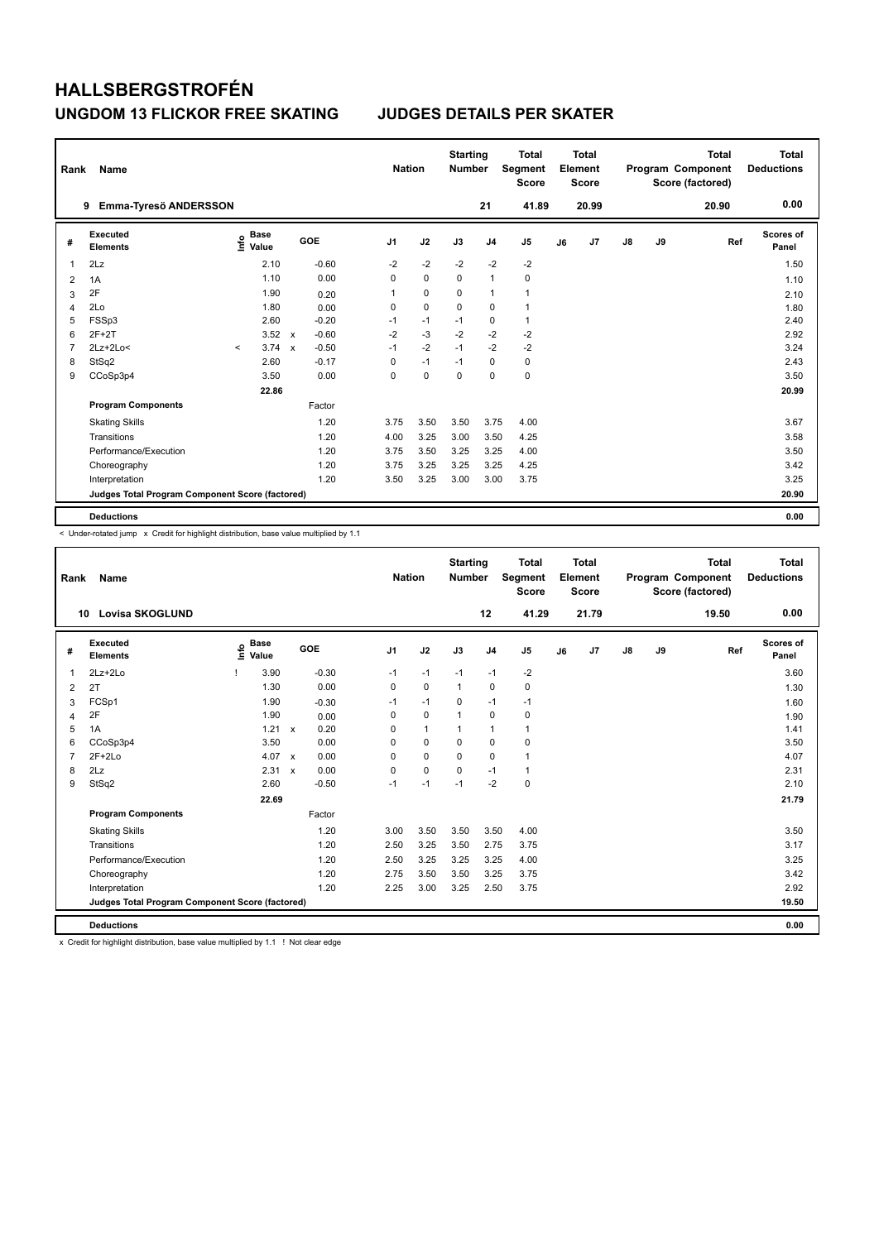| Rank           | Name                                            |         |                      |                           |         | <b>Nation</b>  |             | <b>Starting</b><br><b>Number</b> |                | <b>Total</b><br>Segment<br><b>Score</b> |    | <b>Total</b><br>Element<br><b>Score</b> |               |    | <b>Total</b><br>Program Component<br>Score (factored) | <b>Total</b><br><b>Deductions</b> |
|----------------|-------------------------------------------------|---------|----------------------|---------------------------|---------|----------------|-------------|----------------------------------|----------------|-----------------------------------------|----|-----------------------------------------|---------------|----|-------------------------------------------------------|-----------------------------------|
|                | Emma-Tyresö ANDERSSON<br>9                      |         |                      |                           |         |                |             |                                  | 21             | 41.89                                   |    | 20.99                                   |               |    | 20.90                                                 | 0.00                              |
| #              | Executed<br><b>Elements</b>                     | lnfo    | <b>Base</b><br>Value |                           | GOE     | J <sub>1</sub> | J2          | J3                               | J <sub>4</sub> | J5                                      | J6 | J7                                      | $\mathsf{J}8$ | J9 | Ref                                                   | Scores of<br>Panel                |
| 1              | 2Lz                                             |         | 2.10                 |                           | $-0.60$ | $-2$           | $-2$        | $-2$                             | $-2$           | $-2$                                    |    |                                         |               |    |                                                       | 1.50                              |
| 2              | 1A                                              |         | 1.10                 |                           | 0.00    | 0              | $\mathbf 0$ | $\mathbf 0$                      | $\mathbf{1}$   | $\mathbf 0$                             |    |                                         |               |    |                                                       | 1.10                              |
| 3              | 2F                                              |         | 1.90                 |                           | 0.20    | 1              | $\mathbf 0$ | 0                                | $\mathbf{1}$   | $\mathbf{1}$                            |    |                                         |               |    |                                                       | 2.10                              |
| 4              | 2Lo                                             |         | 1.80                 |                           | 0.00    | 0              | $\mathbf 0$ | $\mathbf 0$                      | $\mathbf 0$    | $\mathbf{1}$                            |    |                                         |               |    |                                                       | 1.80                              |
| 5              | FSSp3                                           |         | 2.60                 |                           | $-0.20$ | $-1$           | $-1$        | $-1$                             | 0              | $\mathbf{1}$                            |    |                                         |               |    |                                                       | 2.40                              |
| 6              | $2F+2T$                                         |         | 3.52                 | $\mathsf{x}$              | $-0.60$ | $-2$           | $-3$        | $-2$                             | $-2$           | $-2$                                    |    |                                         |               |    |                                                       | 2.92                              |
| $\overline{7}$ | $2Lz+2Lo<$                                      | $\prec$ | 3.74                 | $\boldsymbol{\mathsf{x}}$ | $-0.50$ | $-1$           | $-2$        | $-1$                             | $-2$           | $-2$                                    |    |                                         |               |    |                                                       | 3.24                              |
| 8              | StSq2                                           |         | 2.60                 |                           | $-0.17$ | 0              | $-1$        | $-1$                             | 0              | 0                                       |    |                                         |               |    |                                                       | 2.43                              |
| 9              | CCoSp3p4                                        |         | 3.50                 |                           | 0.00    | 0              | $\mathbf 0$ | 0                                | $\mathbf 0$    | $\mathbf 0$                             |    |                                         |               |    |                                                       | 3.50                              |
|                |                                                 |         | 22.86                |                           |         |                |             |                                  |                |                                         |    |                                         |               |    |                                                       | 20.99                             |
|                | <b>Program Components</b>                       |         |                      |                           | Factor  |                |             |                                  |                |                                         |    |                                         |               |    |                                                       |                                   |
|                | <b>Skating Skills</b>                           |         |                      |                           | 1.20    | 3.75           | 3.50        | 3.50                             | 3.75           | 4.00                                    |    |                                         |               |    |                                                       | 3.67                              |
|                | Transitions                                     |         |                      |                           | 1.20    | 4.00           | 3.25        | 3.00                             | 3.50           | 4.25                                    |    |                                         |               |    |                                                       | 3.58                              |
|                | Performance/Execution                           |         |                      |                           | 1.20    | 3.75           | 3.50        | 3.25                             | 3.25           | 4.00                                    |    |                                         |               |    |                                                       | 3.50                              |
|                | Choreography                                    |         |                      |                           | 1.20    | 3.75           | 3.25        | 3.25                             | 3.25           | 4.25                                    |    |                                         |               |    |                                                       | 3.42                              |
|                | Interpretation                                  |         |                      |                           | 1.20    | 3.50           | 3.25        | 3.00                             | 3.00           | 3.75                                    |    |                                         |               |    |                                                       | 3.25                              |
|                | Judges Total Program Component Score (factored) |         |                      |                           |         |                |             |                                  |                |                                         |    |                                         |               |    |                                                       | 20.90                             |
|                | <b>Deductions</b>                               |         |                      |                           |         |                |             |                                  |                |                                         |    |                                         |               |    |                                                       | 0.00                              |

-<br>< Under-rotated jump x Credit for highlight distribution, base value multiplied by 1.1

| Rank           | <b>Name</b>                                     |                              |       |                                   |                | <b>Nation</b> | <b>Starting</b><br><b>Number</b> |                | <b>Total</b><br>Segment<br><b>Score</b> |    | Total<br>Element<br><b>Score</b> |    |    | <b>Total</b><br>Program Component<br>Score (factored) | <b>Total</b><br><b>Deductions</b> |
|----------------|-------------------------------------------------|------------------------------|-------|-----------------------------------|----------------|---------------|----------------------------------|----------------|-----------------------------------------|----|----------------------------------|----|----|-------------------------------------------------------|-----------------------------------|
| 10             | <b>Lovisa SKOGLUND</b>                          |                              |       |                                   |                |               |                                  | 12             | 41.29                                   |    | 21.79                            |    |    | 19.50                                                 | 0.00                              |
| #              | Executed<br><b>Elements</b>                     | <b>Base</b><br>lnfo<br>Value |       | GOE                               | J <sub>1</sub> | J2            | J3                               | J <sub>4</sub> | J <sub>5</sub>                          | J6 | J7                               | J8 | J9 | Ref                                                   | Scores of<br>Panel                |
| $\overline{1}$ | $2Lz+2Lo$                                       |                              | 3.90  | $-0.30$                           | $-1$           | $-1$          | $-1$                             | $-1$           | $-2$                                    |    |                                  |    |    |                                                       | 3.60                              |
| 2              | 2T                                              |                              | 1.30  | 0.00                              | $\mathbf 0$    | $\mathbf 0$   | $\mathbf{1}$                     | $\mathbf 0$    | $\pmb{0}$                               |    |                                  |    |    |                                                       | 1.30                              |
| 3              | FCSp1                                           |                              | 1.90  | $-0.30$                           | $-1$           | $-1$          | $\Omega$                         | $-1$           | $-1$                                    |    |                                  |    |    |                                                       | 1.60                              |
| 4              | 2F                                              |                              | 1.90  | 0.00                              | 0              | $\mathbf 0$   | $\mathbf{1}$                     | $\mathbf 0$    | $\mathbf 0$                             |    |                                  |    |    |                                                       | 1.90                              |
| 5              | 1A                                              |                              | 1.21  | 0.20<br>$\mathbf{x}$              | 0              | $\mathbf{1}$  | 1                                | $\mathbf{1}$   | 1                                       |    |                                  |    |    |                                                       | 1.41                              |
| 6              | CCoSp3p4                                        |                              | 3.50  | 0.00                              | 0              | $\mathbf 0$   | 0                                | $\mathbf 0$    | $\mathbf 0$                             |    |                                  |    |    |                                                       | 3.50                              |
| $\overline{7}$ | $2F+2Lo$                                        |                              | 4.07  | 0.00<br>$\mathsf{x}$              | 0              | $\mathbf 0$   | $\Omega$                         | $\mathbf 0$    | 1                                       |    |                                  |    |    |                                                       | 4.07                              |
| 8              | 2Lz                                             |                              | 2.31  | 0.00<br>$\boldsymbol{\mathsf{x}}$ | 0              | $\mathbf 0$   | 0                                | $-1$           | 1                                       |    |                                  |    |    |                                                       | 2.31                              |
| 9              | StSq2                                           |                              | 2.60  | $-0.50$                           | $-1$           | $-1$          | $-1$                             | $-2$           | $\mathbf 0$                             |    |                                  |    |    |                                                       | 2.10                              |
|                |                                                 |                              | 22.69 |                                   |                |               |                                  |                |                                         |    |                                  |    |    |                                                       | 21.79                             |
|                | <b>Program Components</b>                       |                              |       | Factor                            |                |               |                                  |                |                                         |    |                                  |    |    |                                                       |                                   |
|                | <b>Skating Skills</b>                           |                              |       | 1.20                              | 3.00           | 3.50          | 3.50                             | 3.50           | 4.00                                    |    |                                  |    |    |                                                       | 3.50                              |
|                | Transitions                                     |                              |       | 1.20                              | 2.50           | 3.25          | 3.50                             | 2.75           | 3.75                                    |    |                                  |    |    |                                                       | 3.17                              |
|                | Performance/Execution                           |                              |       | 1.20                              | 2.50           | 3.25          | 3.25                             | 3.25           | 4.00                                    |    |                                  |    |    |                                                       | 3.25                              |
|                | Choreography                                    |                              |       | 1.20                              | 2.75           | 3.50          | 3.50                             | 3.25           | 3.75                                    |    |                                  |    |    |                                                       | 3.42                              |
|                | Interpretation                                  |                              |       | 1.20                              | 2.25           | 3.00          | 3.25                             | 2.50           | 3.75                                    |    |                                  |    |    |                                                       | 2.92                              |
|                | Judges Total Program Component Score (factored) |                              |       |                                   |                |               |                                  |                |                                         |    |                                  |    |    |                                                       | 19.50                             |
|                | <b>Deductions</b>                               |                              |       |                                   |                |               |                                  |                |                                         |    |                                  |    |    |                                                       | 0.00                              |

x Credit for highlight distribution, base value multiplied by 1.1 ! Not clear edge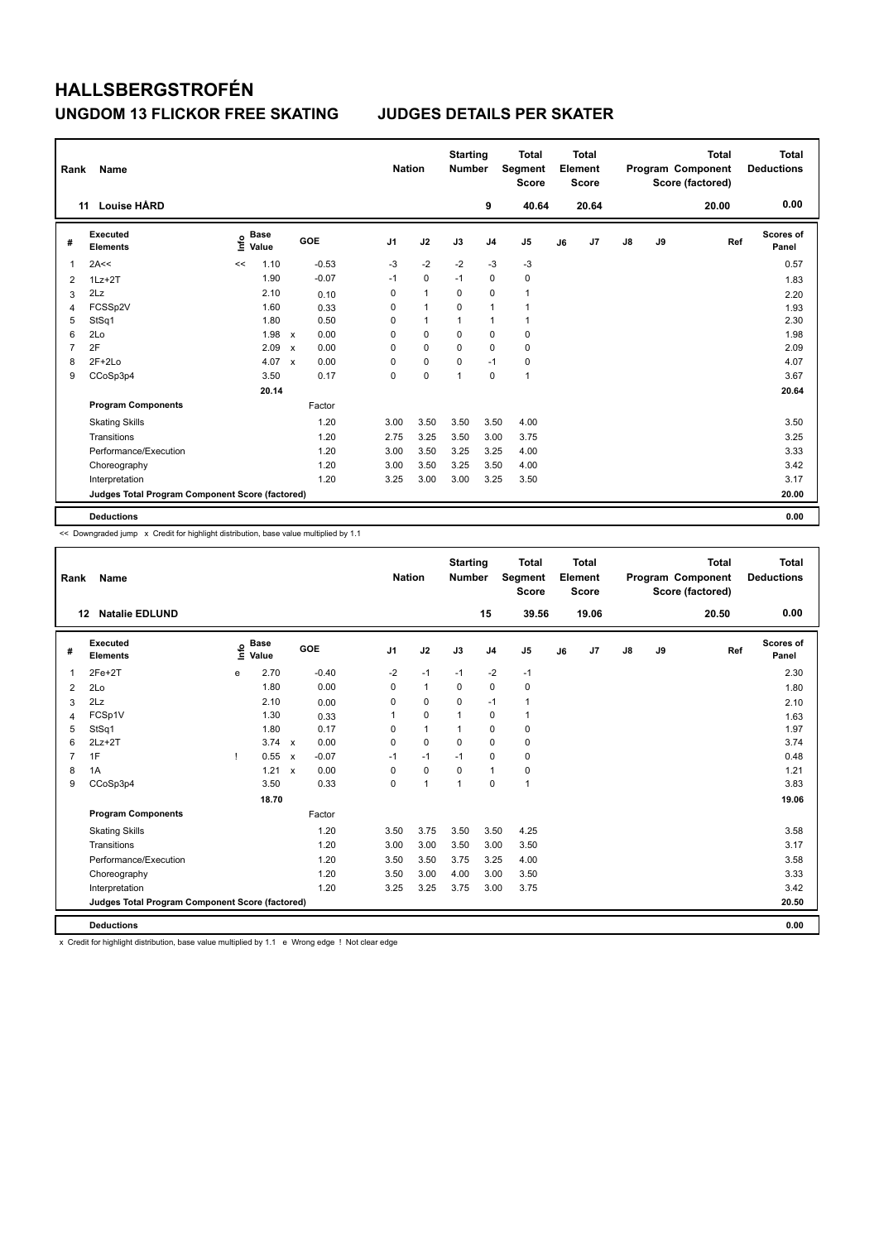| Rank | Name                                            |                                  |                           |         |                | <b>Nation</b> | <b>Starting</b><br><b>Number</b> |                | Total<br>Segment<br><b>Score</b> |    | <b>Total</b><br>Element<br><b>Score</b> |               |    | <b>Total</b><br>Program Component<br>Score (factored) | <b>Total</b><br><b>Deductions</b> |
|------|-------------------------------------------------|----------------------------------|---------------------------|---------|----------------|---------------|----------------------------------|----------------|----------------------------------|----|-----------------------------------------|---------------|----|-------------------------------------------------------|-----------------------------------|
|      | <b>Louise HÅRD</b><br>11                        |                                  |                           |         |                |               |                                  | 9              | 40.64                            |    | 20.64                                   |               |    | 20.00                                                 | 0.00                              |
| #    | <b>Executed</b><br><b>Elements</b>              | <b>Base</b><br>e Base<br>⊆ Value |                           | GOE     | J <sub>1</sub> | J2            | J3                               | J <sub>4</sub> | J5                               | J6 | J7                                      | $\mathsf{J}8$ | J9 | Ref                                                   | Scores of<br>Panel                |
| 1    | 2A<<                                            | 1.10<br><<                       |                           | $-0.53$ | $-3$           | $-2$          | $-2$                             | $-3$           | $-3$                             |    |                                         |               |    |                                                       | 0.57                              |
| 2    | $1Lz + 2T$                                      | 1.90                             |                           | $-0.07$ | $-1$           | $\mathbf 0$   | $-1$                             | $\mathbf 0$    | $\mathbf 0$                      |    |                                         |               |    |                                                       | 1.83                              |
| 3    | 2Lz                                             | 2.10                             |                           | 0.10    | 0              | $\mathbf{1}$  | 0                                | 0              | $\mathbf{1}$                     |    |                                         |               |    |                                                       | 2.20                              |
| 4    | FCSSp2V                                         | 1.60                             |                           | 0.33    | 0              | $\mathbf{1}$  | 0                                | $\overline{1}$ | $\overline{1}$                   |    |                                         |               |    |                                                       | 1.93                              |
| 5    | StSq1                                           | 1.80                             |                           | 0.50    | 0              | $\mathbf{1}$  | 1                                | $\overline{1}$ | $\mathbf{1}$                     |    |                                         |               |    |                                                       | 2.30                              |
| 6    | 2Lo                                             | 1.98                             | $\mathsf{x}$              | 0.00    | 0              | 0             | 0                                | $\pmb{0}$      | 0                                |    |                                         |               |    |                                                       | 1.98                              |
| 7    | 2F                                              | 2.09                             | $\mathbf x$               | 0.00    | 0              | 0             | 0                                | 0              | 0                                |    |                                         |               |    |                                                       | 2.09                              |
| 8    | $2F+2Lo$                                        | 4.07                             | $\boldsymbol{\mathsf{x}}$ | 0.00    | 0              | $\mathbf 0$   | 0                                | $-1$           | 0                                |    |                                         |               |    |                                                       | 4.07                              |
| 9    | CCoSp3p4                                        | 3.50                             |                           | 0.17    | 0              | 0             | 1                                | 0              | $\mathbf{1}$                     |    |                                         |               |    |                                                       | 3.67                              |
|      |                                                 | 20.14                            |                           |         |                |               |                                  |                |                                  |    |                                         |               |    |                                                       | 20.64                             |
|      | <b>Program Components</b>                       |                                  |                           | Factor  |                |               |                                  |                |                                  |    |                                         |               |    |                                                       |                                   |
|      | <b>Skating Skills</b>                           |                                  |                           | 1.20    | 3.00           | 3.50          | 3.50                             | 3.50           | 4.00                             |    |                                         |               |    |                                                       | 3.50                              |
|      | Transitions                                     |                                  |                           | 1.20    | 2.75           | 3.25          | 3.50                             | 3.00           | 3.75                             |    |                                         |               |    |                                                       | 3.25                              |
|      | Performance/Execution                           |                                  |                           | 1.20    | 3.00           | 3.50          | 3.25                             | 3.25           | 4.00                             |    |                                         |               |    |                                                       | 3.33                              |
|      | Choreography                                    |                                  |                           | 1.20    | 3.00           | 3.50          | 3.25                             | 3.50           | 4.00                             |    |                                         |               |    |                                                       | 3.42                              |
|      | Interpretation                                  |                                  |                           | 1.20    | 3.25           | 3.00          | 3.00                             | 3.25           | 3.50                             |    |                                         |               |    |                                                       | 3.17                              |
|      | Judges Total Program Component Score (factored) |                                  |                           |         |                |               |                                  |                |                                  |    |                                         |               |    |                                                       | 20.00                             |
|      | <b>Deductions</b>                               |                                  |                           |         |                |               |                                  |                |                                  |    |                                         |               |    |                                                       | 0.00                              |

<< Downgraded jump x Credit for highlight distribution, base value multiplied by 1.1

| Rank           | <b>Name</b>                                     |      |                      |                           |         |                | <b>Nation</b> | <b>Starting</b><br><b>Number</b> |                | <b>Total</b><br>Segment<br><b>Score</b> |    | <b>Total</b><br>Element<br><b>Score</b> |    |    | <b>Total</b><br>Program Component<br>Score (factored) | <b>Total</b><br><b>Deductions</b> |
|----------------|-------------------------------------------------|------|----------------------|---------------------------|---------|----------------|---------------|----------------------------------|----------------|-----------------------------------------|----|-----------------------------------------|----|----|-------------------------------------------------------|-----------------------------------|
| 12             | <b>Natalie EDLUND</b>                           |      |                      |                           |         |                |               |                                  | 15             | 39.56                                   |    | 19.06                                   |    |    | 20.50                                                 | 0.00                              |
| #              | Executed<br><b>Elements</b>                     | ١nf٥ | <b>Base</b><br>Value |                           | GOE     | J <sub>1</sub> | J2            | J3                               | J <sub>4</sub> | J <sub>5</sub>                          | J6 | J7                                      | J8 | J9 | Ref                                                   | Scores of<br>Panel                |
| $\overline{1}$ | $2Fe+2T$                                        | e    | 2.70                 |                           | $-0.40$ | $-2$           | $-1$          | $-1$                             | $-2$           | $-1$                                    |    |                                         |    |    |                                                       | 2.30                              |
| 2              | 2Lo                                             |      | 1.80                 |                           | 0.00    | $\mathbf 0$    | $\mathbf{1}$  | $\mathbf 0$                      | $\mathbf 0$    | 0                                       |    |                                         |    |    |                                                       | 1.80                              |
| 3              | 2Lz                                             |      | 2.10                 |                           | 0.00    | $\Omega$       | $\mathbf 0$   | $\Omega$                         | $-1$           | 1                                       |    |                                         |    |    |                                                       | 2.10                              |
| 4              | FCSp1V                                          |      | 1.30                 |                           | 0.33    |                | $\mathbf 0$   | $\overline{1}$                   | 0              | 1                                       |    |                                         |    |    |                                                       | 1.63                              |
| 5              | StSq1                                           |      | 1.80                 |                           | 0.17    | 0              | $\mathbf{1}$  | 1                                | $\mathbf 0$    | 0                                       |    |                                         |    |    |                                                       | 1.97                              |
| 6              | $2Lz+2T$                                        |      | $3.74 \times$        |                           | 0.00    | 0              | $\mathbf 0$   | 0                                | $\mathbf 0$    | $\mathbf 0$                             |    |                                         |    |    |                                                       | 3.74                              |
| $\overline{7}$ | 1F                                              |      | 0.55                 | $\boldsymbol{\mathsf{x}}$ | $-0.07$ | $-1$           | $-1$          | $-1$                             | $\mathbf 0$    | $\mathbf 0$                             |    |                                         |    |    |                                                       | 0.48                              |
| 8              | 1A                                              |      | 1.21                 | $\boldsymbol{\mathsf{x}}$ | 0.00    | 0              | $\mathbf 0$   | 0                                | 1              | 0                                       |    |                                         |    |    |                                                       | 1.21                              |
| 9              | CCoSp3p4                                        |      | 3.50                 |                           | 0.33    | 0              | $\mathbf{1}$  | $\mathbf{1}$                     | $\mathbf 0$    | $\mathbf{1}$                            |    |                                         |    |    |                                                       | 3.83                              |
|                |                                                 |      | 18.70                |                           |         |                |               |                                  |                |                                         |    |                                         |    |    |                                                       | 19.06                             |
|                | <b>Program Components</b>                       |      |                      |                           | Factor  |                |               |                                  |                |                                         |    |                                         |    |    |                                                       |                                   |
|                | <b>Skating Skills</b>                           |      |                      |                           | 1.20    | 3.50           | 3.75          | 3.50                             | 3.50           | 4.25                                    |    |                                         |    |    |                                                       | 3.58                              |
|                | Transitions                                     |      |                      |                           | 1.20    | 3.00           | 3.00          | 3.50                             | 3.00           | 3.50                                    |    |                                         |    |    |                                                       | 3.17                              |
|                | Performance/Execution                           |      |                      |                           | 1.20    | 3.50           | 3.50          | 3.75                             | 3.25           | 4.00                                    |    |                                         |    |    |                                                       | 3.58                              |
|                | Choreography                                    |      |                      |                           | 1.20    | 3.50           | 3.00          | 4.00                             | 3.00           | 3.50                                    |    |                                         |    |    |                                                       | 3.33                              |
|                | Interpretation                                  |      |                      |                           | 1.20    | 3.25           | 3.25          | 3.75                             | 3.00           | 3.75                                    |    |                                         |    |    |                                                       | 3.42                              |
|                | Judges Total Program Component Score (factored) |      |                      |                           |         |                |               |                                  |                |                                         |    |                                         |    |    |                                                       | 20.50                             |
|                | <b>Deductions</b>                               |      |                      |                           |         |                |               |                                  |                |                                         |    |                                         |    |    |                                                       | 0.00                              |

x Credit for highlight distribution, base value multiplied by 1.1 e Wrong edge ! Not clear edge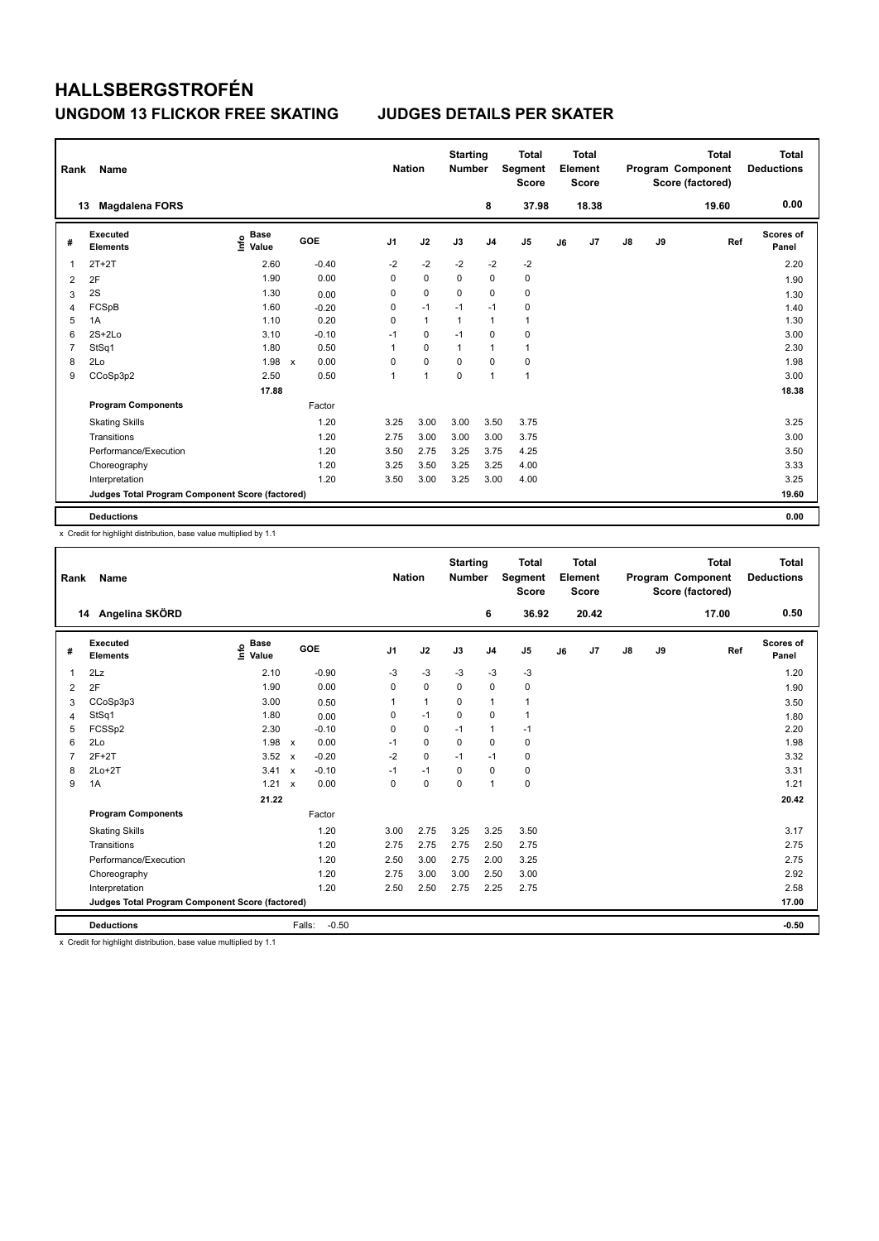| Rank | Name                                            |                                  |                                   | <b>Nation</b>  |              | <b>Starting</b><br><b>Number</b> |                | <b>Total</b><br>Segment<br><b>Score</b> |    | <b>Total</b><br>Element<br><b>Score</b> |    |    | <b>Total</b><br>Program Component<br>Score (factored) | <b>Total</b><br><b>Deductions</b> |
|------|-------------------------------------------------|----------------------------------|-----------------------------------|----------------|--------------|----------------------------------|----------------|-----------------------------------------|----|-----------------------------------------|----|----|-------------------------------------------------------|-----------------------------------|
|      | <b>Magdalena FORS</b><br>13                     |                                  |                                   |                |              |                                  | 8              | 37.98                                   |    | 18.38                                   |    |    | 19.60                                                 | 0.00                              |
| #    | Executed<br><b>Elements</b>                     | <b>Base</b><br>e Base<br>⊆ Value | GOE                               | J <sub>1</sub> | J2           | J3                               | J <sub>4</sub> | J5                                      | J6 | J7                                      | J8 | J9 | Ref                                                   | <b>Scores of</b><br>Panel         |
| 1    | $2T+2T$                                         | 2.60                             | $-0.40$                           | $-2$           | $-2$         | $-2$                             | $-2$           | $-2$                                    |    |                                         |    |    |                                                       | 2.20                              |
| 2    | 2F                                              | 1.90                             | 0.00                              | 0              | $\mathbf 0$  | $\Omega$                         | 0              | 0                                       |    |                                         |    |    |                                                       | 1.90                              |
| 3    | 2S                                              | 1.30                             | 0.00                              | 0              | $\mathbf 0$  | 0                                | $\mathbf 0$    | $\pmb{0}$                               |    |                                         |    |    |                                                       | 1.30                              |
| 4    | FCSpB                                           | 1.60                             | $-0.20$                           | 0              | $-1$         | $-1$                             | $-1$           | $\pmb{0}$                               |    |                                         |    |    |                                                       | 1.40                              |
| 5    | 1A                                              | 1.10                             | 0.20                              | 0              | $\mathbf{1}$ | 1                                | $\overline{1}$ | $\mathbf{1}$                            |    |                                         |    |    |                                                       | 1.30                              |
| 6    | $2S+2Lo$                                        | 3.10                             | $-0.10$                           | $-1$           | 0            | $-1$                             | 0              | 0                                       |    |                                         |    |    |                                                       | 3.00                              |
| 7    | StSq1                                           | 1.80                             | 0.50                              | 1              | $\mathbf 0$  | $\overline{1}$                   | $\overline{1}$ | $\mathbf{1}$                            |    |                                         |    |    |                                                       | 2.30                              |
| 8    | 2Lo                                             | 1.98                             | 0.00<br>$\boldsymbol{\mathsf{x}}$ | 0              | $\mathbf 0$  | 0                                | 0              | 0                                       |    |                                         |    |    |                                                       | 1.98                              |
| 9    | CCoSp3p2                                        | 2.50                             | 0.50                              | 1              | 1            | 0                                | $\overline{1}$ | $\mathbf{1}$                            |    |                                         |    |    |                                                       | 3.00                              |
|      |                                                 | 17.88                            |                                   |                |              |                                  |                |                                         |    |                                         |    |    |                                                       | 18.38                             |
|      | <b>Program Components</b>                       |                                  | Factor                            |                |              |                                  |                |                                         |    |                                         |    |    |                                                       |                                   |
|      | <b>Skating Skills</b>                           |                                  | 1.20                              | 3.25           | 3.00         | 3.00                             | 3.50           | 3.75                                    |    |                                         |    |    |                                                       | 3.25                              |
|      | Transitions                                     |                                  | 1.20                              | 2.75           | 3.00         | 3.00                             | 3.00           | 3.75                                    |    |                                         |    |    |                                                       | 3.00                              |
|      | Performance/Execution                           |                                  | 1.20                              | 3.50           | 2.75         | 3.25                             | 3.75           | 4.25                                    |    |                                         |    |    |                                                       | 3.50                              |
|      | Choreography                                    |                                  | 1.20                              | 3.25           | 3.50         | 3.25                             | 3.25           | 4.00                                    |    |                                         |    |    |                                                       | 3.33                              |
|      | Interpretation                                  |                                  | 1.20                              | 3.50           | 3.00         | 3.25                             | 3.00           | 4.00                                    |    |                                         |    |    |                                                       | 3.25                              |
|      | Judges Total Program Component Score (factored) |                                  |                                   |                |              |                                  |                |                                         |    |                                         |    |    |                                                       | 19.60                             |
|      | <b>Deductions</b>                               |                                  |                                   |                |              |                                  |                |                                         |    |                                         |    |    |                                                       | 0.00                              |

x Credit for highlight distribution, base value multiplied by 1.1

| Rank           | Name                                            |                                  |                           |         | <b>Nation</b>  |                | <b>Starting</b><br><b>Number</b> |                | <b>Total</b><br>Segment<br><b>Score</b> |    | Total<br>Element<br><b>Score</b> |    |    | <b>Total</b><br>Program Component<br>Score (factored) | Total<br><b>Deductions</b> |
|----------------|-------------------------------------------------|----------------------------------|---------------------------|---------|----------------|----------------|----------------------------------|----------------|-----------------------------------------|----|----------------------------------|----|----|-------------------------------------------------------|----------------------------|
|                | 14 Angelina SKÖRD                               |                                  |                           |         |                |                |                                  | 6              | 36.92                                   |    | 20.42                            |    |    | 17.00                                                 | 0.50                       |
| #              | Executed<br><b>Elements</b>                     | <b>Base</b><br>e Base<br>⊆ Value |                           | GOE     | J <sub>1</sub> | J2             | J3                               | J <sub>4</sub> | J <sub>5</sub>                          | J6 | J7                               | J8 | J9 | Ref                                                   | Scores of<br>Panel         |
| 1              | 2Lz                                             | 2.10                             |                           | $-0.90$ | -3             | $-3$           | -3                               | $-3$           | $-3$                                    |    |                                  |    |    |                                                       | 1.20                       |
| 2              | 2F                                              | 1.90                             |                           | 0.00    | $\mathbf 0$    | $\mathbf 0$    | $\mathbf 0$                      | $\mathbf 0$    | $\mathbf 0$                             |    |                                  |    |    |                                                       | 1.90                       |
| 3              | CCoSp3p3                                        | 3.00                             |                           | 0.50    | 1              | $\overline{1}$ | 0                                | $\mathbf{1}$   | $\mathbf{1}$                            |    |                                  |    |    |                                                       | 3.50                       |
| $\overline{4}$ | StSq1                                           | 1.80                             |                           | 0.00    | 0              | $-1$           | 0                                | 0              | $\mathbf{1}$                            |    |                                  |    |    |                                                       | 1.80                       |
| 5              | FCSSp2                                          | 2.30                             |                           | $-0.10$ | $\Omega$       | $\mathbf 0$    | $-1$                             | $\mathbf{1}$   | $-1$                                    |    |                                  |    |    |                                                       | 2.20                       |
| 6              | 2Lo                                             | 1.98                             | $\boldsymbol{\mathsf{x}}$ | 0.00    | $-1$           | 0              | 0                                | 0              | 0                                       |    |                                  |    |    |                                                       | 1.98                       |
| 7              | $2F+2T$                                         | 3.52                             | $\boldsymbol{\mathsf{x}}$ | $-0.20$ | $-2$           | $\mathbf 0$    | $-1$                             | $-1$           | 0                                       |    |                                  |    |    |                                                       | 3.32                       |
| 8              | $2Lo+2T$                                        | 3.41                             | $\boldsymbol{\mathsf{x}}$ | $-0.10$ | $-1$           | $-1$           | 0                                | $\mathbf 0$    | 0                                       |    |                                  |    |    |                                                       | 3.31                       |
| 9              | 1A                                              | 1.21                             | $\boldsymbol{\mathsf{x}}$ | 0.00    | $\Omega$       | $\mathbf 0$    | $\mathbf 0$                      | $\mathbf{1}$   | $\mathbf 0$                             |    |                                  |    |    |                                                       | 1.21                       |
|                |                                                 | 21.22                            |                           |         |                |                |                                  |                |                                         |    |                                  |    |    |                                                       | 20.42                      |
|                | <b>Program Components</b>                       |                                  |                           | Factor  |                |                |                                  |                |                                         |    |                                  |    |    |                                                       |                            |
|                | <b>Skating Skills</b>                           |                                  |                           | 1.20    | 3.00           | 2.75           | 3.25                             | 3.25           | 3.50                                    |    |                                  |    |    |                                                       | 3.17                       |
|                | Transitions                                     |                                  |                           | 1.20    | 2.75           | 2.75           | 2.75                             | 2.50           | 2.75                                    |    |                                  |    |    |                                                       | 2.75                       |
|                | Performance/Execution                           |                                  |                           | 1.20    | 2.50           | 3.00           | 2.75                             | 2.00           | 3.25                                    |    |                                  |    |    |                                                       | 2.75                       |
|                | Choreography                                    |                                  |                           | 1.20    | 2.75           | 3.00           | 3.00                             | 2.50           | 3.00                                    |    |                                  |    |    |                                                       | 2.92                       |
|                | Interpretation                                  |                                  |                           | 1.20    | 2.50           | 2.50           | 2.75                             | 2.25           | 2.75                                    |    |                                  |    |    |                                                       | 2.58                       |
|                | Judges Total Program Component Score (factored) |                                  |                           |         |                |                |                                  |                |                                         |    |                                  |    |    |                                                       | 17.00                      |
|                | <b>Deductions</b>                               |                                  | Falls:                    | $-0.50$ |                |                |                                  |                |                                         |    |                                  |    |    |                                                       | $-0.50$                    |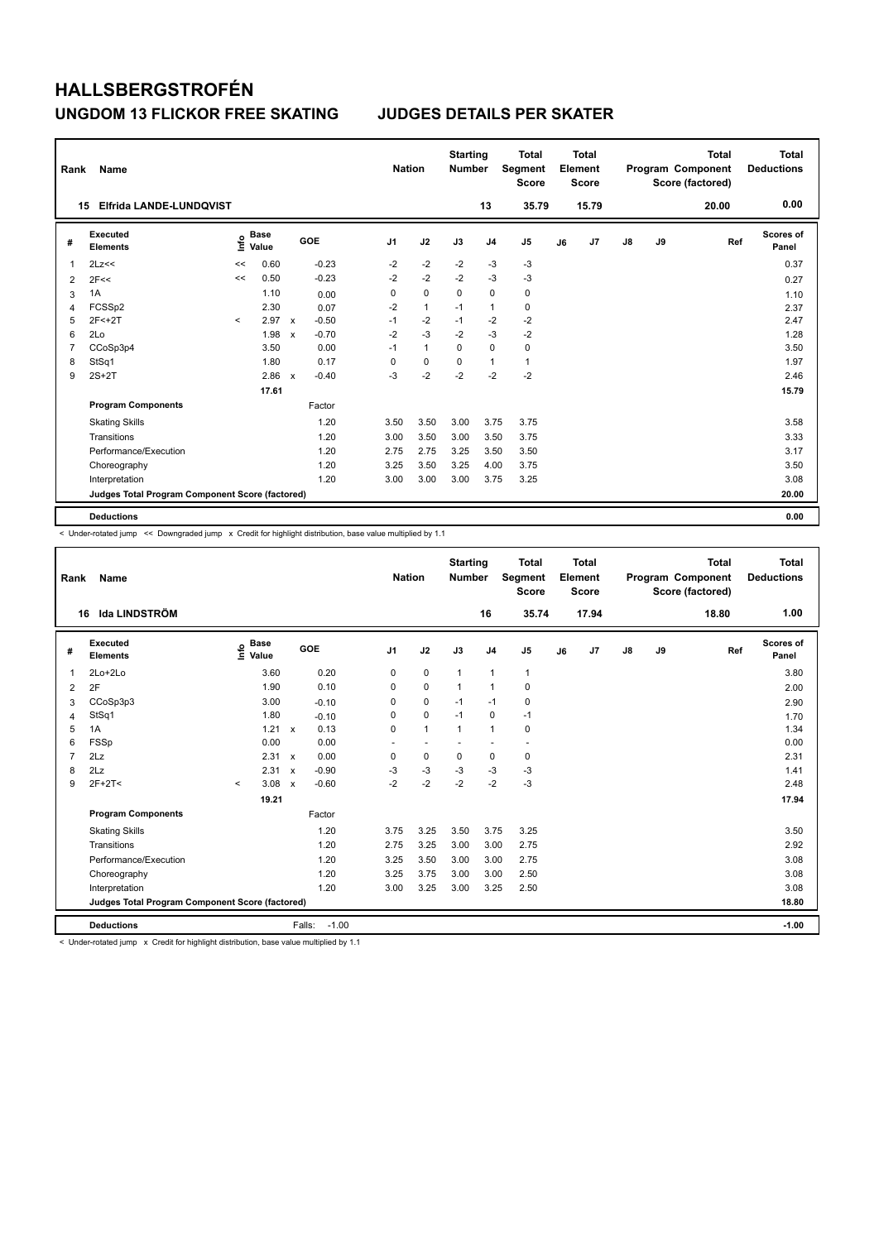| Rank           | Name                                            |         |                      |                           |         | <b>Nation</b>  |              | <b>Starting</b><br><b>Number</b> |                | <b>Total</b><br>Segment<br><b>Score</b> |    | <b>Total</b><br>Element<br><b>Score</b> |    |    | Total<br>Program Component<br>Score (factored) | Total<br><b>Deductions</b> |
|----------------|-------------------------------------------------|---------|----------------------|---------------------------|---------|----------------|--------------|----------------------------------|----------------|-----------------------------------------|----|-----------------------------------------|----|----|------------------------------------------------|----------------------------|
|                | Elfrida LANDE-LUNDQVIST<br>15                   |         |                      |                           |         |                |              |                                  | 13             | 35.79                                   |    | 15.79                                   |    |    | 20.00                                          | 0.00                       |
| #              | Executed<br><b>Elements</b>                     | ١nf٥    | <b>Base</b><br>Value |                           | GOE     | J <sub>1</sub> | J2           | J3                               | J <sub>4</sub> | J <sub>5</sub>                          | J6 | J7                                      | J8 | J9 | Ref                                            | Scores of<br>Panel         |
| 1              | 2Lz<<                                           | <<      | 0.60                 |                           | $-0.23$ | $-2$           | $-2$         | $-2$                             | $-3$           | $-3$                                    |    |                                         |    |    |                                                | 0.37                       |
| 2              | 2F<<                                            | <<      | 0.50                 |                           | $-0.23$ | $-2$           | $-2$         | $-2$                             | $-3$           | $-3$                                    |    |                                         |    |    |                                                | 0.27                       |
| 3              | 1A                                              |         | 1.10                 |                           | 0.00    | 0              | $\mathbf 0$  | 0                                | $\mathbf 0$    | 0                                       |    |                                         |    |    |                                                | 1.10                       |
| 4              | FCSSp2                                          |         | 2.30                 |                           | 0.07    | $-2$           | $\mathbf{1}$ | $-1$                             | $\mathbf{1}$   | $\mathbf 0$                             |    |                                         |    |    |                                                | 2.37                       |
| 5              | $2F < +2T$                                      | $\prec$ | 2.97                 | $\mathbf{x}$              | $-0.50$ | $-1$           | $-2$         | $-1$                             | $-2$           | $-2$                                    |    |                                         |    |    |                                                | 2.47                       |
| 6              | 2Lo                                             |         | 1.98                 | $\boldsymbol{\mathsf{x}}$ | $-0.70$ | $-2$           | $-3$         | $-2$                             | $-3$           | $-2$                                    |    |                                         |    |    |                                                | 1.28                       |
| $\overline{7}$ | CCoSp3p4                                        |         | 3.50                 |                           | 0.00    | $-1$           | $\mathbf{1}$ | 0                                | $\mathbf 0$    | 0                                       |    |                                         |    |    |                                                | 3.50                       |
| 8              | StSq1                                           |         | 1.80                 |                           | 0.17    | 0              | 0            | $\Omega$                         | $\mathbf{1}$   | $\mathbf{1}$                            |    |                                         |    |    |                                                | 1.97                       |
| 9              | $2S+2T$                                         |         | 2.86                 | $\boldsymbol{\mathsf{x}}$ | $-0.40$ | $-3$           | $-2$         | $-2$                             | $-2$           | $-2$                                    |    |                                         |    |    |                                                | 2.46                       |
|                |                                                 |         | 17.61                |                           |         |                |              |                                  |                |                                         |    |                                         |    |    |                                                | 15.79                      |
|                | <b>Program Components</b>                       |         |                      |                           | Factor  |                |              |                                  |                |                                         |    |                                         |    |    |                                                |                            |
|                | <b>Skating Skills</b>                           |         |                      |                           | 1.20    | 3.50           | 3.50         | 3.00                             | 3.75           | 3.75                                    |    |                                         |    |    |                                                | 3.58                       |
|                | Transitions                                     |         |                      |                           | 1.20    | 3.00           | 3.50         | 3.00                             | 3.50           | 3.75                                    |    |                                         |    |    |                                                | 3.33                       |
|                | Performance/Execution                           |         |                      |                           | 1.20    | 2.75           | 2.75         | 3.25                             | 3.50           | 3.50                                    |    |                                         |    |    |                                                | 3.17                       |
|                | Choreography                                    |         |                      |                           | 1.20    | 3.25           | 3.50         | 3.25                             | 4.00           | 3.75                                    |    |                                         |    |    |                                                | 3.50                       |
|                | Interpretation                                  |         |                      |                           | 1.20    | 3.00           | 3.00         | 3.00                             | 3.75           | 3.25                                    |    |                                         |    |    |                                                | 3.08                       |
|                | Judges Total Program Component Score (factored) |         |                      |                           |         |                |              |                                  |                |                                         |    |                                         |    |    |                                                | 20.00                      |
|                | <b>Deductions</b>                               |         |                      |                           |         |                |              |                                  |                |                                         |    |                                         |    |    |                                                | 0.00                       |

< Under-rotated jump << Downgraded jump x Credit for highlight distribution, base value multiplied by 1.1

| Rank           | Name                                            |                                  |                           |         | <b>Nation</b>  |                          | <b>Starting</b><br><b>Number</b> |                          | <b>Total</b><br>Segment<br><b>Score</b> |    | Total<br>Element<br><b>Score</b> |               |    | <b>Total</b><br>Program Component<br>Score (factored) | Total<br><b>Deductions</b> |
|----------------|-------------------------------------------------|----------------------------------|---------------------------|---------|----------------|--------------------------|----------------------------------|--------------------------|-----------------------------------------|----|----------------------------------|---------------|----|-------------------------------------------------------|----------------------------|
|                | lda LINDSTRÖM<br>16                             |                                  |                           |         |                |                          |                                  | 16                       | 35.74                                   |    | 17.94                            |               |    | 18.80                                                 | 1.00                       |
| #              | Executed<br>Elements                            | <b>Base</b><br>e Base<br>⊆ Value | GOE                       |         | J <sub>1</sub> | J2                       | J3                               | J <sub>4</sub>           | J <sub>5</sub>                          | J6 | J7                               | $\mathsf{J}8$ | J9 | Ref                                                   | Scores of<br>Panel         |
| 1              | 2Lo+2Lo                                         | 3.60                             |                           | 0.20    | 0              | $\mathbf 0$              | $\mathbf{1}$                     | $\mathbf{1}$             | $\mathbf{1}$                            |    |                                  |               |    |                                                       | 3.80                       |
| $\overline{2}$ | 2F                                              | 1.90                             |                           | 0.10    | 0              | $\mathbf 0$              | $\mathbf{1}$                     | $\mathbf{1}$             | $\mathbf 0$                             |    |                                  |               |    |                                                       | 2.00                       |
| 3              | CCoSp3p3                                        | 3.00                             |                           | $-0.10$ | 0              | $\mathbf 0$              | $-1$                             | $-1$                     | 0                                       |    |                                  |               |    |                                                       | 2.90                       |
| 4              | StSq1                                           | 1.80                             |                           | $-0.10$ | $\Omega$       | $\mathbf 0$              | $-1$                             | $\mathbf 0$              | $-1$                                    |    |                                  |               |    |                                                       | 1.70                       |
| 5              | 1A                                              | 1.21                             | $\mathbf{x}$              | 0.13    | 0              | $\mathbf{1}$             | $\mathbf{1}$                     | $\mathbf{1}$             | $\mathbf 0$                             |    |                                  |               |    |                                                       | 1.34                       |
| 6              | <b>FSSp</b>                                     | 0.00                             |                           | 0.00    | ٠              | $\overline{\phantom{a}}$ |                                  | $\overline{\phantom{a}}$ | $\sim$                                  |    |                                  |               |    |                                                       | 0.00                       |
| $\overline{7}$ | 2Lz                                             | 2.31                             | $\mathsf{x}$              | 0.00    | 0              | $\mathbf 0$              | $\mathbf 0$                      | 0                        | $\mathbf 0$                             |    |                                  |               |    |                                                       | 2.31                       |
| 8              | 2Lz                                             | 2.31                             | $\boldsymbol{\mathsf{x}}$ | $-0.90$ | $-3$           | $-3$                     | $-3$                             | $-3$                     | $-3$                                    |    |                                  |               |    |                                                       | 1.41                       |
| 9              | $2F+2T<$                                        | 3.08<br>$\prec$                  | $\boldsymbol{\mathsf{x}}$ | $-0.60$ | $-2$           | $-2$                     | $-2$                             | $-2$                     | $-3$                                    |    |                                  |               |    |                                                       | 2.48                       |
|                |                                                 | 19.21                            |                           |         |                |                          |                                  |                          |                                         |    |                                  |               |    |                                                       | 17.94                      |
|                | <b>Program Components</b>                       |                                  |                           | Factor  |                |                          |                                  |                          |                                         |    |                                  |               |    |                                                       |                            |
|                | <b>Skating Skills</b>                           |                                  |                           | 1.20    | 3.75           | 3.25                     | 3.50                             | 3.75                     | 3.25                                    |    |                                  |               |    |                                                       | 3.50                       |
|                | Transitions                                     |                                  |                           | 1.20    | 2.75           | 3.25                     | 3.00                             | 3.00                     | 2.75                                    |    |                                  |               |    |                                                       | 2.92                       |
|                | Performance/Execution                           |                                  |                           | 1.20    | 3.25           | 3.50                     | 3.00                             | 3.00                     | 2.75                                    |    |                                  |               |    |                                                       | 3.08                       |
|                | Choreography                                    |                                  |                           | 1.20    | 3.25           | 3.75                     | 3.00                             | 3.00                     | 2.50                                    |    |                                  |               |    |                                                       | 3.08                       |
|                | Interpretation                                  |                                  |                           | 1.20    | 3.00           | 3.25                     | 3.00                             | 3.25                     | 2.50                                    |    |                                  |               |    |                                                       | 3.08                       |
|                | Judges Total Program Component Score (factored) |                                  |                           |         |                |                          |                                  |                          |                                         |    |                                  |               |    |                                                       | 18.80                      |
|                | <b>Deductions</b>                               |                                  | Falls:                    | $-1.00$ |                |                          |                                  |                          |                                         |    |                                  |               |    |                                                       | $-1.00$                    |

 $<$  Under-rotated jump  $\times$  Credit for highlight distribution, base value multiplied by 1.1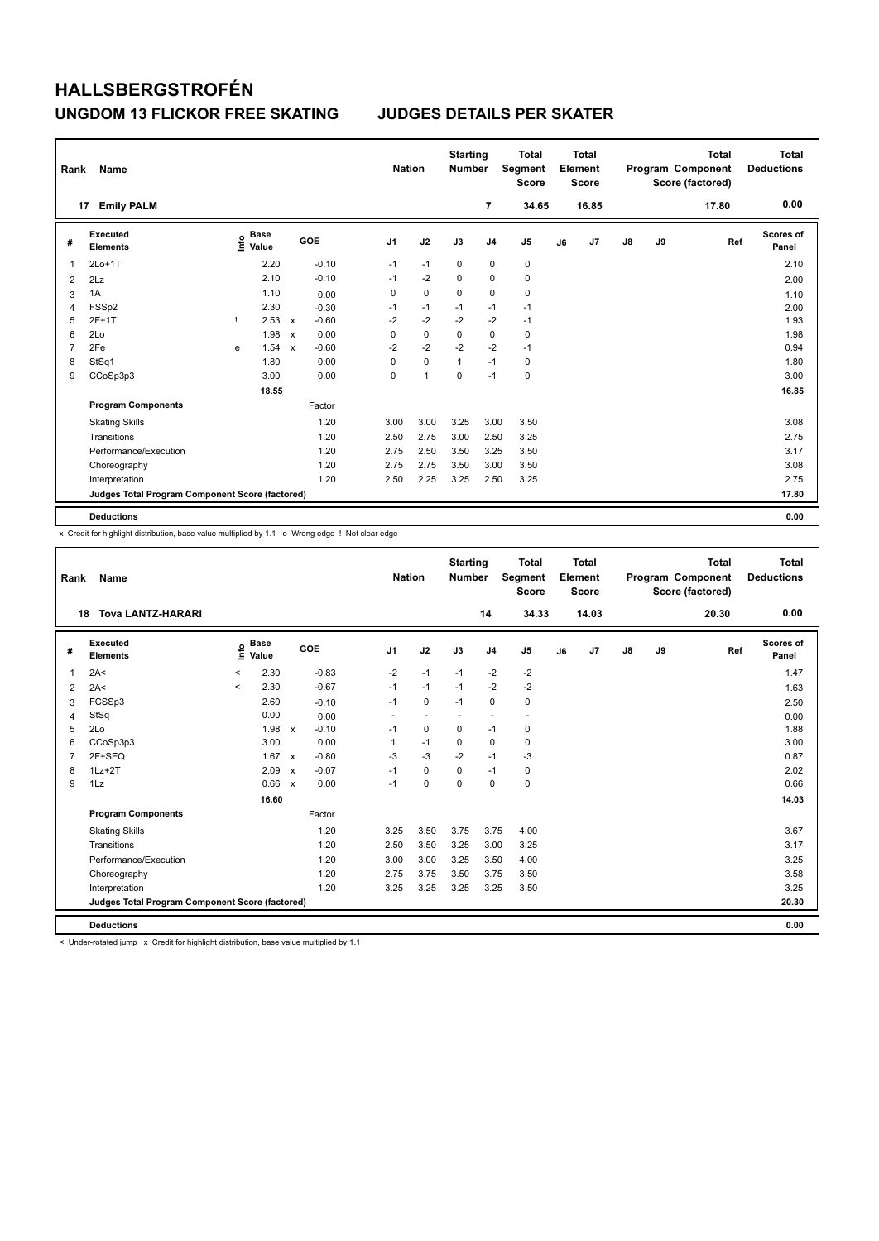| Rank | Name                                            |   |                                  |                           |         |                | <b>Nation</b> | <b>Starting</b><br><b>Number</b> |                | <b>Total</b><br>Segment<br><b>Score</b> |    | <b>Total</b><br>Element<br><b>Score</b> |               |    | <b>Total</b><br>Program Component<br>Score (factored) | <b>Total</b><br><b>Deductions</b> |
|------|-------------------------------------------------|---|----------------------------------|---------------------------|---------|----------------|---------------|----------------------------------|----------------|-----------------------------------------|----|-----------------------------------------|---------------|----|-------------------------------------------------------|-----------------------------------|
|      | <b>Emily PALM</b><br>17                         |   |                                  |                           |         |                |               |                                  | 7              | 34.65                                   |    | 16.85                                   |               |    | 17.80                                                 | 0.00                              |
| #    | <b>Executed</b><br><b>Elements</b>              |   | <b>Base</b><br>e Base<br>⊆ Value |                           | GOE     | J <sub>1</sub> | J2            | J3                               | J <sub>4</sub> | J <sub>5</sub>                          | J6 | J7                                      | $\mathsf{J}8$ | J9 | Ref                                                   | Scores of<br>Panel                |
| 1    | $2Lo+1T$                                        |   | 2.20                             |                           | $-0.10$ | $-1$           | $-1$          | 0                                | 0              | 0                                       |    |                                         |               |    |                                                       | 2.10                              |
| 2    | 2Lz                                             |   | 2.10                             |                           | $-0.10$ | $-1$           | $-2$          | $\Omega$                         | $\Omega$       | $\mathbf 0$                             |    |                                         |               |    |                                                       | 2.00                              |
| 3    | 1A                                              |   | 1.10                             |                           | 0.00    | 0              | $\pmb{0}$     | $\mathbf 0$                      | $\mathbf 0$    | $\pmb{0}$                               |    |                                         |               |    |                                                       | 1.10                              |
| 4    | FSSp2                                           |   | 2.30                             |                           | $-0.30$ | $-1$           | $-1$          | $-1$                             | $-1$           | $-1$                                    |    |                                         |               |    |                                                       | 2.00                              |
| 5    | $2F+1T$                                         |   | 2.53                             | $\mathbf{x}$              | $-0.60$ | $-2$           | $-2$          | $-2$                             | $-2$           | $-1$                                    |    |                                         |               |    |                                                       | 1.93                              |
| 6    | 2Lo                                             |   | 1.98                             | $\boldsymbol{\mathsf{x}}$ | 0.00    | 0              | $\mathbf 0$   | $\mathbf 0$                      | $\mathbf 0$    | $\mathbf 0$                             |    |                                         |               |    |                                                       | 1.98                              |
| 7    | 2Fe                                             | e | 1.54                             | $\boldsymbol{\mathsf{x}}$ | $-0.60$ | $-2$           | $-2$          | $-2$                             | $-2$           | $-1$                                    |    |                                         |               |    |                                                       | 0.94                              |
| 8    | StSq1                                           |   | 1.80                             |                           | 0.00    | 0              | $\mathbf 0$   | 1                                | $-1$           | 0                                       |    |                                         |               |    |                                                       | 1.80                              |
| 9    | CCoSp3p3                                        |   | 3.00                             |                           | 0.00    | 0              | 1             | 0                                | $-1$           | $\mathbf 0$                             |    |                                         |               |    |                                                       | 3.00                              |
|      |                                                 |   | 18.55                            |                           |         |                |               |                                  |                |                                         |    |                                         |               |    |                                                       | 16.85                             |
|      | <b>Program Components</b>                       |   |                                  |                           | Factor  |                |               |                                  |                |                                         |    |                                         |               |    |                                                       |                                   |
|      | <b>Skating Skills</b>                           |   |                                  |                           | 1.20    | 3.00           | 3.00          | 3.25                             | 3.00           | 3.50                                    |    |                                         |               |    |                                                       | 3.08                              |
|      | Transitions                                     |   |                                  |                           | 1.20    | 2.50           | 2.75          | 3.00                             | 2.50           | 3.25                                    |    |                                         |               |    |                                                       | 2.75                              |
|      | Performance/Execution                           |   |                                  |                           | 1.20    | 2.75           | 2.50          | 3.50                             | 3.25           | 3.50                                    |    |                                         |               |    |                                                       | 3.17                              |
|      | Choreography                                    |   |                                  |                           | 1.20    | 2.75           | 2.75          | 3.50                             | 3.00           | 3.50                                    |    |                                         |               |    |                                                       | 3.08                              |
|      | Interpretation                                  |   |                                  |                           | 1.20    | 2.50           | 2.25          | 3.25                             | 2.50           | 3.25                                    |    |                                         |               |    |                                                       | 2.75                              |
|      | Judges Total Program Component Score (factored) |   |                                  |                           |         |                |               |                                  |                |                                         |    |                                         |               |    |                                                       | 17.80                             |
|      | <b>Deductions</b>                               |   |                                  |                           |         |                |               |                                  |                |                                         |    |                                         |               |    |                                                       | 0.00                              |

x Credit for highlight distribution, base value multiplied by 1.1 e Wrong edge ! Not clear edge

| Rank           | Name                                            |         |                      |                           |         |                | <b>Nation</b> | <b>Starting</b><br><b>Number</b> |                          | <b>Total</b><br>Segment<br><b>Score</b> |    | Total<br>Element<br><b>Score</b> |    |    | <b>Total</b><br>Program Component<br>Score (factored) | <b>Total</b><br><b>Deductions</b> |
|----------------|-------------------------------------------------|---------|----------------------|---------------------------|---------|----------------|---------------|----------------------------------|--------------------------|-----------------------------------------|----|----------------------------------|----|----|-------------------------------------------------------|-----------------------------------|
|                | <b>Tova LANTZ-HARARI</b><br>18                  |         |                      |                           |         |                |               |                                  | 14                       | 34.33                                   |    | 14.03                            |    |    | 20.30                                                 | 0.00                              |
| #              | Executed<br><b>Elements</b>                     | ١nf٥    | <b>Base</b><br>Value |                           | GOE     | J <sub>1</sub> | J2            | J3                               | J <sub>4</sub>           | J <sub>5</sub>                          | J6 | J7                               | J8 | J9 | Ref                                                   | Scores of<br>Panel                |
| 1              | 2A<                                             | $\prec$ | 2.30                 |                           | $-0.83$ | $-2$           | $-1$          | $-1$                             | $-2$                     | $-2$                                    |    |                                  |    |    |                                                       | 1.47                              |
| $\overline{2}$ | 2A<                                             | $\prec$ | 2.30                 |                           | $-0.67$ | $-1$           | $-1$          | $-1$                             | $-2$                     | $-2$                                    |    |                                  |    |    |                                                       | 1.63                              |
| 3              | FCSSp3                                          |         | 2.60                 |                           | $-0.10$ | $-1$           | $\mathbf 0$   | $-1$                             | $\mathbf 0$              | 0                                       |    |                                  |    |    |                                                       | 2.50                              |
| 4              | StSq                                            |         | 0.00                 |                           | 0.00    | ٠              | $\sim$        | $\sim$                           | $\overline{\phantom{a}}$ | $\sim$                                  |    |                                  |    |    |                                                       | 0.00                              |
| 5              | 2Lo                                             |         | 1.98                 | $\mathbf{x}$              | $-0.10$ | $-1$           | $\mathbf 0$   | $\mathbf 0$                      | $-1$                     | 0                                       |    |                                  |    |    |                                                       | 1.88                              |
| 6              | CCoSp3p3                                        |         | 3.00                 |                           | 0.00    | 1              | $-1$          | 0                                | $\mathbf 0$              | 0                                       |    |                                  |    |    |                                                       | 3.00                              |
| $\overline{7}$ | 2F+SEQ                                          |         | 1.67                 | $\mathsf{x}$              | $-0.80$ | $-3$           | $-3$          | $-2$                             | $-1$                     | $-3$                                    |    |                                  |    |    |                                                       | 0.87                              |
| 8              | $1Lz + 2T$                                      |         | 2.09                 | $\boldsymbol{\mathsf{x}}$ | $-0.07$ | $-1$           | $\Omega$      | $\Omega$                         | $-1$                     | 0                                       |    |                                  |    |    |                                                       | 2.02                              |
| 9              | 1Lz                                             |         | 0.66                 | $\boldsymbol{\mathsf{x}}$ | 0.00    | $-1$           | $\mathbf 0$   | $\mathbf 0$                      | $\mathbf 0$              | 0                                       |    |                                  |    |    |                                                       | 0.66                              |
|                |                                                 |         | 16.60                |                           |         |                |               |                                  |                          |                                         |    |                                  |    |    |                                                       | 14.03                             |
|                | <b>Program Components</b>                       |         |                      |                           | Factor  |                |               |                                  |                          |                                         |    |                                  |    |    |                                                       |                                   |
|                | <b>Skating Skills</b>                           |         |                      |                           | 1.20    | 3.25           | 3.50          | 3.75                             | 3.75                     | 4.00                                    |    |                                  |    |    |                                                       | 3.67                              |
|                | Transitions                                     |         |                      |                           | 1.20    | 2.50           | 3.50          | 3.25                             | 3.00                     | 3.25                                    |    |                                  |    |    |                                                       | 3.17                              |
|                | Performance/Execution                           |         |                      |                           | 1.20    | 3.00           | 3.00          | 3.25                             | 3.50                     | 4.00                                    |    |                                  |    |    |                                                       | 3.25                              |
|                | Choreography                                    |         |                      |                           | 1.20    | 2.75           | 3.75          | 3.50                             | 3.75                     | 3.50                                    |    |                                  |    |    |                                                       | 3.58                              |
|                | Interpretation                                  |         |                      |                           | 1.20    | 3.25           | 3.25          | 3.25                             | 3.25                     | 3.50                                    |    |                                  |    |    |                                                       | 3.25                              |
|                | Judges Total Program Component Score (factored) |         |                      |                           |         |                |               |                                  |                          |                                         |    |                                  |    |    |                                                       | 20.30                             |
|                | <b>Deductions</b>                               |         |                      |                           |         |                |               |                                  |                          |                                         |    |                                  |    |    |                                                       | 0.00                              |

 $<$  Under-rotated jump  $\times$  Credit for highlight distribution, base value multiplied by 1.1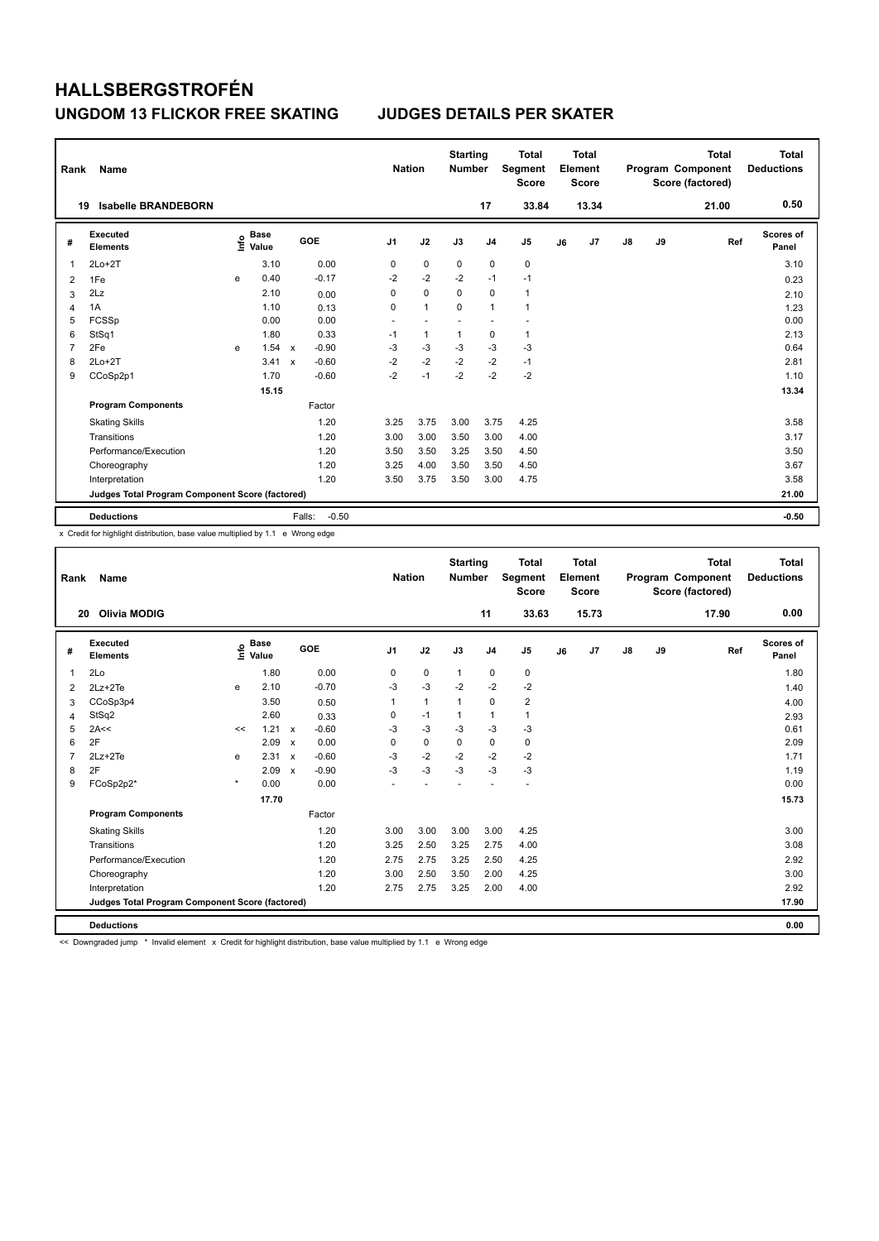| Rank           | Name                                            |   |                                  |                           |         | <b>Nation</b>  |                | <b>Starting</b><br><b>Number</b> |                | <b>Total</b><br><b>Segment</b><br><b>Score</b> |    | <b>Total</b><br>Element<br><b>Score</b> |    |    | <b>Total</b><br>Program Component<br>Score (factored) | Total<br><b>Deductions</b> |
|----------------|-------------------------------------------------|---|----------------------------------|---------------------------|---------|----------------|----------------|----------------------------------|----------------|------------------------------------------------|----|-----------------------------------------|----|----|-------------------------------------------------------|----------------------------|
|                | <b>Isabelle BRANDEBORN</b><br>19                |   |                                  |                           |         |                |                |                                  | 17             | 33.84                                          |    | 13.34                                   |    |    | 21.00                                                 | 0.50                       |
| #              | Executed<br><b>Elements</b>                     |   | <b>Base</b><br>e Base<br>⊆ Value |                           | GOE     | J <sub>1</sub> | J2             | J3                               | J <sub>4</sub> | J <sub>5</sub>                                 | J6 | J7                                      | J8 | J9 | Ref                                                   | <b>Scores of</b><br>Panel  |
| 1              | $2Lo+2T$                                        |   | 3.10                             |                           | 0.00    | 0              | $\mathbf 0$    | $\mathbf 0$                      | $\mathbf 0$    | 0                                              |    |                                         |    |    |                                                       | 3.10                       |
| $\overline{2}$ | 1Fe                                             | e | 0.40                             |                           | $-0.17$ | $-2$           | $-2$           | $-2$                             | $-1$           | $-1$                                           |    |                                         |    |    |                                                       | 0.23                       |
| 3              | 2Lz                                             |   | 2.10                             |                           | 0.00    | 0              | $\mathbf 0$    | $\mathbf 0$                      | $\mathbf 0$    | $\mathbf{1}$                                   |    |                                         |    |    |                                                       | 2.10                       |
| 4              | 1A                                              |   | 1.10                             |                           | 0.13    | 0              | $\overline{1}$ | $\Omega$                         | $\mathbf{1}$   | 1                                              |    |                                         |    |    |                                                       | 1.23                       |
| 5              | FCSSp                                           |   | 0.00                             |                           | 0.00    | $\overline{a}$ | $\overline{a}$ |                                  | ٠              |                                                |    |                                         |    |    |                                                       | 0.00                       |
| 6              | StSq1                                           |   | 1.80                             |                           | 0.33    | $-1$           | $\overline{1}$ | $\overline{1}$                   | $\pmb{0}$      | $\mathbf{1}$                                   |    |                                         |    |    |                                                       | 2.13                       |
| $\overline{7}$ | 2Fe                                             | e | 1.54                             | $\mathbf{x}$              | $-0.90$ | -3             | $-3$           | -3                               | $-3$           | $-3$                                           |    |                                         |    |    |                                                       | 0.64                       |
| 8              | $2Lo+2T$                                        |   | 3.41                             | $\boldsymbol{\mathsf{x}}$ | $-0.60$ | $-2$           | $-2$           | $-2$                             | $-2$           | $-1$                                           |    |                                         |    |    |                                                       | 2.81                       |
| 9              | CCoSp2p1                                        |   | 1.70                             |                           | $-0.60$ | $-2$           | $-1$           | $-2$                             | $-2$           | $-2$                                           |    |                                         |    |    |                                                       | 1.10                       |
|                |                                                 |   | 15.15                            |                           |         |                |                |                                  |                |                                                |    |                                         |    |    |                                                       | 13.34                      |
|                | <b>Program Components</b>                       |   |                                  |                           | Factor  |                |                |                                  |                |                                                |    |                                         |    |    |                                                       |                            |
|                | <b>Skating Skills</b>                           |   |                                  |                           | 1.20    | 3.25           | 3.75           | 3.00                             | 3.75           | 4.25                                           |    |                                         |    |    |                                                       | 3.58                       |
|                | Transitions                                     |   |                                  |                           | 1.20    | 3.00           | 3.00           | 3.50                             | 3.00           | 4.00                                           |    |                                         |    |    |                                                       | 3.17                       |
|                | Performance/Execution                           |   |                                  |                           | 1.20    | 3.50           | 3.50           | 3.25                             | 3.50           | 4.50                                           |    |                                         |    |    |                                                       | 3.50                       |
|                | Choreography                                    |   |                                  |                           | 1.20    | 3.25           | 4.00           | 3.50                             | 3.50           | 4.50                                           |    |                                         |    |    |                                                       | 3.67                       |
|                | Interpretation                                  |   |                                  |                           | 1.20    | 3.50           | 3.75           | 3.50                             | 3.00           | 4.75                                           |    |                                         |    |    |                                                       | 3.58                       |
|                | Judges Total Program Component Score (factored) |   |                                  |                           |         |                |                |                                  |                |                                                |    |                                         |    |    |                                                       | 21.00                      |
|                | <b>Deductions</b>                               |   |                                  | Falls:                    | $-0.50$ |                |                |                                  |                |                                                |    |                                         |    |    |                                                       | $-0.50$                    |

x Credit for highlight distribution, base value multiplied by 1.1 e Wrong edge

| Rank           | Name                                            |         |                                  |                           |         | <b>Nation</b>  |              | <b>Starting</b><br><b>Number</b> |                | <b>Total</b><br>Segment<br><b>Score</b> |    | Total<br>Element<br><b>Score</b> |    |    | <b>Total</b><br>Program Component<br>Score (factored) | <b>Total</b><br><b>Deductions</b> |
|----------------|-------------------------------------------------|---------|----------------------------------|---------------------------|---------|----------------|--------------|----------------------------------|----------------|-----------------------------------------|----|----------------------------------|----|----|-------------------------------------------------------|-----------------------------------|
|                | <b>Olivia MODIG</b><br>20                       |         |                                  |                           |         |                |              |                                  | 11             | 33.63                                   |    | 15.73                            |    |    | 17.90                                                 | 0.00                              |
| #              | Executed<br><b>Elements</b>                     |         | <b>Base</b><br>e Base<br>⊆ Value |                           | GOE     | J <sub>1</sub> | J2           | J3                               | J <sub>4</sub> | J <sub>5</sub>                          | J6 | J7                               | J8 | J9 | Ref                                                   | Scores of<br>Panel                |
| 1              | 2Lo                                             |         | 1.80                             |                           | 0.00    | $\mathbf 0$    | $\mathbf 0$  | $\mathbf{1}$                     | $\mathbf 0$    | 0                                       |    |                                  |    |    |                                                       | 1.80                              |
| $\overline{2}$ | 2Lz+2Te                                         | e       | 2.10                             |                           | $-0.70$ | $-3$           | $-3$         | $-2$                             | $-2$           | $-2$                                    |    |                                  |    |    |                                                       | 1.40                              |
| 3              | CCoSp3p4                                        |         | 3.50                             |                           | 0.50    | $\mathbf{1}$   | $\mathbf{1}$ | $\mathbf{1}$                     | $\mathbf 0$    | $\overline{\mathbf{c}}$                 |    |                                  |    |    |                                                       | 4.00                              |
| 4              | StSq2                                           |         | 2.60                             |                           | 0.33    | 0              | $-1$         | $\mathbf{1}$                     | $\mathbf{1}$   | $\mathbf{1}$                            |    |                                  |    |    |                                                       | 2.93                              |
| 5              | 2A<<                                            | <<      | 1.21                             | $\boldsymbol{\mathsf{x}}$ | $-0.60$ | $-3$           | $-3$         | $-3$                             | $-3$           | $-3$                                    |    |                                  |    |    |                                                       | 0.61                              |
| 6              | 2F                                              |         | 2.09                             | $\boldsymbol{\mathsf{x}}$ | 0.00    | 0              | $\mathbf 0$  | 0                                | $\mathbf 0$    | 0                                       |    |                                  |    |    |                                                       | 2.09                              |
| $\overline{7}$ | 2Lz+2Te                                         | e       | 2.31                             | $\mathsf{x}$              | $-0.60$ | $-3$           | $-2$         | $-2$                             | $-2$           | $-2$                                    |    |                                  |    |    |                                                       | 1.71                              |
| 8              | 2F                                              |         | 2.09                             | $\boldsymbol{\mathsf{x}}$ | $-0.90$ | $-3$           | $-3$         | $-3$                             | $-3$           | $-3$                                    |    |                                  |    |    |                                                       | 1.19                              |
| 9              | FCoSp2p2*                                       | $\star$ | 0.00                             |                           | 0.00    |                |              |                                  |                |                                         |    |                                  |    |    |                                                       | 0.00                              |
|                |                                                 |         | 17.70                            |                           |         |                |              |                                  |                |                                         |    |                                  |    |    |                                                       | 15.73                             |
|                | <b>Program Components</b>                       |         |                                  |                           | Factor  |                |              |                                  |                |                                         |    |                                  |    |    |                                                       |                                   |
|                | <b>Skating Skills</b>                           |         |                                  |                           | 1.20    | 3.00           | 3.00         | 3.00                             | 3.00           | 4.25                                    |    |                                  |    |    |                                                       | 3.00                              |
|                | Transitions                                     |         |                                  |                           | 1.20    | 3.25           | 2.50         | 3.25                             | 2.75           | 4.00                                    |    |                                  |    |    |                                                       | 3.08                              |
|                | Performance/Execution                           |         |                                  |                           | 1.20    | 2.75           | 2.75         | 3.25                             | 2.50           | 4.25                                    |    |                                  |    |    |                                                       | 2.92                              |
|                | Choreography                                    |         |                                  |                           | 1.20    | 3.00           | 2.50         | 3.50                             | 2.00           | 4.25                                    |    |                                  |    |    |                                                       | 3.00                              |
|                | Interpretation                                  |         |                                  |                           | 1.20    | 2.75           | 2.75         | 3.25                             | 2.00           | 4.00                                    |    |                                  |    |    |                                                       | 2.92                              |
|                | Judges Total Program Component Score (factored) |         |                                  |                           |         |                |              |                                  |                |                                         |    |                                  |    |    |                                                       | 17.90                             |
|                | <b>Deductions</b>                               |         |                                  |                           |         |                |              |                                  |                |                                         |    |                                  |    |    |                                                       | 0.00                              |
|                |                                                 |         |                                  |                           |         |                |              |                                  |                |                                         |    |                                  |    |    |                                                       |                                   |

<< Downgraded jump \* Invalid element x Credit for highlight distribution, base value multiplied by 1.1 e Wrong edge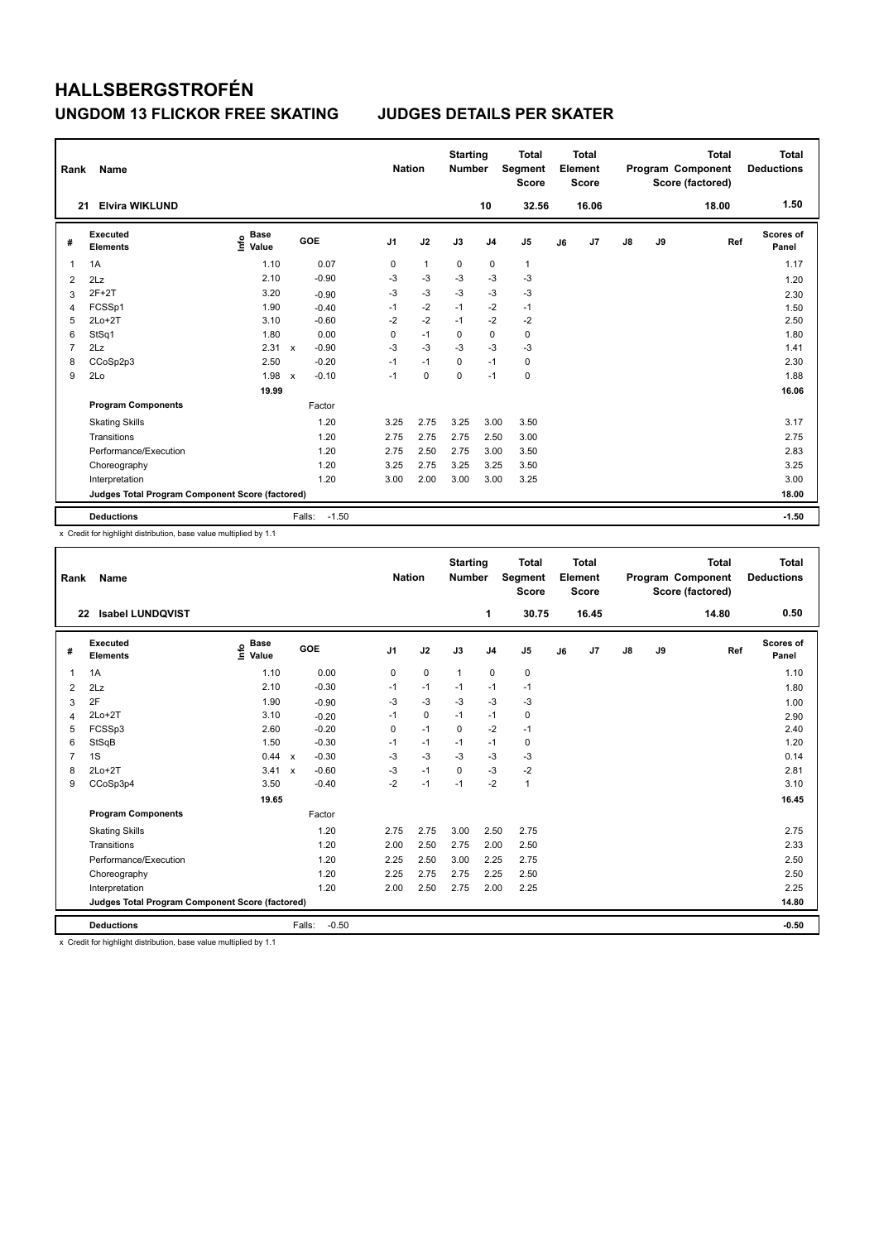| Rank           | Name                                            |                                  |                           |                   | <b>Nation</b>  |              | <b>Starting</b><br><b>Number</b> |                | <b>Total</b><br>Segment<br><b>Score</b> |    | <b>Total</b><br>Element<br><b>Score</b> |               |    | <b>Total</b><br>Program Component<br>Score (factored) | Total<br><b>Deductions</b> |
|----------------|-------------------------------------------------|----------------------------------|---------------------------|-------------------|----------------|--------------|----------------------------------|----------------|-----------------------------------------|----|-----------------------------------------|---------------|----|-------------------------------------------------------|----------------------------|
| 21             | <b>Elvira WIKLUND</b>                           |                                  |                           |                   |                |              |                                  | 10             | 32.56                                   |    | 16.06                                   |               |    | 18.00                                                 | 1.50                       |
| #              | <b>Executed</b><br><b>Elements</b>              | <b>Base</b><br>e Base<br>⊆ Value |                           | GOE               | J <sub>1</sub> | J2           | J3                               | J <sub>4</sub> | J <sub>5</sub>                          | J6 | J7                                      | $\mathsf{J}8$ | J9 | Ref                                                   | Scores of<br>Panel         |
| 1              | 1A                                              | 1.10                             |                           | 0.07              | 0              | $\mathbf{1}$ | 0                                | 0              | $\mathbf{1}$                            |    |                                         |               |    |                                                       | 1.17                       |
| $\overline{2}$ | 2Lz                                             | 2.10                             |                           | $-0.90$           | $-3$           | $-3$         | $-3$                             | $-3$           | $-3$                                    |    |                                         |               |    |                                                       | 1.20                       |
| 3              | $2F+2T$                                         | 3.20                             |                           | $-0.90$           | $-3$           | $-3$         | $-3$                             | $-3$           | $-3$                                    |    |                                         |               |    |                                                       | 2.30                       |
| 4              | FCSSp1                                          | 1.90                             |                           | $-0.40$           | $-1$           | $-2$         | $-1$                             | $-2$           | $-1$                                    |    |                                         |               |    |                                                       | 1.50                       |
| 5              | $2Lo+2T$                                        | 3.10                             |                           | $-0.60$           | $-2$           | $-2$         | $-1$                             | $-2$           | -2                                      |    |                                         |               |    |                                                       | 2.50                       |
| 6              | StSq1                                           | 1.80                             |                           | 0.00              | 0              | $-1$         | 0                                | $\pmb{0}$      | $\pmb{0}$                               |    |                                         |               |    |                                                       | 1.80                       |
| 7              | 2Lz                                             | 2.31                             | $\mathsf{x}$              | $-0.90$           | $-3$           | $-3$         | $-3$                             | $-3$           | $-3$                                    |    |                                         |               |    |                                                       | 1.41                       |
| 8              | CCoSp2p3                                        | 2.50                             |                           | $-0.20$           | $-1$           | $-1$         | $\Omega$                         | $-1$           | 0                                       |    |                                         |               |    |                                                       | 2.30                       |
| 9              | 2Lo                                             | 1.98                             | $\boldsymbol{\mathsf{x}}$ | $-0.10$           | $-1$           | $\mathbf 0$  | 0                                | $-1$           | $\pmb{0}$                               |    |                                         |               |    |                                                       | 1.88                       |
|                |                                                 | 19.99                            |                           |                   |                |              |                                  |                |                                         |    |                                         |               |    |                                                       | 16.06                      |
|                | <b>Program Components</b>                       |                                  |                           | Factor            |                |              |                                  |                |                                         |    |                                         |               |    |                                                       |                            |
|                | <b>Skating Skills</b>                           |                                  |                           | 1.20              | 3.25           | 2.75         | 3.25                             | 3.00           | 3.50                                    |    |                                         |               |    |                                                       | 3.17                       |
|                | Transitions                                     |                                  |                           | 1.20              | 2.75           | 2.75         | 2.75                             | 2.50           | 3.00                                    |    |                                         |               |    |                                                       | 2.75                       |
|                | Performance/Execution                           |                                  |                           | 1.20              | 2.75           | 2.50         | 2.75                             | 3.00           | 3.50                                    |    |                                         |               |    |                                                       | 2.83                       |
|                | Choreography                                    |                                  |                           | 1.20              | 3.25           | 2.75         | 3.25                             | 3.25           | 3.50                                    |    |                                         |               |    |                                                       | 3.25                       |
|                | Interpretation                                  |                                  |                           | 1.20              | 3.00           | 2.00         | 3.00                             | 3.00           | 3.25                                    |    |                                         |               |    |                                                       | 3.00                       |
|                | Judges Total Program Component Score (factored) |                                  |                           |                   |                |              |                                  |                |                                         |    |                                         |               |    |                                                       | 18.00                      |
|                | <b>Deductions</b>                               |                                  |                           | $-1.50$<br>Falls: |                |              |                                  |                |                                         |    |                                         |               |    |                                                       | $-1.50$                    |

x Credit for highlight distribution, base value multiplied by 1.1

| Rank           | <b>Name</b>                                     |                                  |                           |         | <b>Nation</b>  |             | <b>Starting</b><br><b>Number</b> |                | <b>Total</b><br>Segment<br><b>Score</b> |    | Total<br>Element<br><b>Score</b> |    |    | <b>Total</b><br>Program Component<br>Score (factored) | <b>Total</b><br><b>Deductions</b> |
|----------------|-------------------------------------------------|----------------------------------|---------------------------|---------|----------------|-------------|----------------------------------|----------------|-----------------------------------------|----|----------------------------------|----|----|-------------------------------------------------------|-----------------------------------|
| 22             | <b>Isabel LUNDQVIST</b>                         |                                  |                           |         |                |             |                                  | 1              | 30.75                                   |    | 16.45                            |    |    | 14.80                                                 | 0.50                              |
| #              | Executed<br><b>Elements</b>                     | <b>Base</b><br>e Base<br>⊆ Value |                           | GOE     | J <sub>1</sub> | J2          | J3                               | J <sub>4</sub> | J <sub>5</sub>                          | J6 | J7                               | J8 | J9 | Ref                                                   | <b>Scores of</b><br>Panel         |
| $\mathbf{1}$   | 1A                                              | 1.10                             |                           | 0.00    | 0              | $\mathbf 0$ | $\mathbf{1}$                     | $\mathbf 0$    | $\pmb{0}$                               |    |                                  |    |    |                                                       | 1.10                              |
| 2              | 2Lz                                             | 2.10                             |                           | $-0.30$ | $-1$           | $-1$        | $-1$                             | $-1$           | $-1$                                    |    |                                  |    |    |                                                       | 1.80                              |
| 3              | 2F                                              | 1.90                             |                           | $-0.90$ | -3             | $-3$        | $-3$                             | $-3$           | $-3$                                    |    |                                  |    |    |                                                       | 1.00                              |
| 4              | $2Lo+2T$                                        | 3.10                             |                           | $-0.20$ | $-1$           | $\mathbf 0$ | $-1$                             | $-1$           | $\mathbf 0$                             |    |                                  |    |    |                                                       | 2.90                              |
| 5              | FCSSp3                                          | 2.60                             |                           | $-0.20$ | 0              | $-1$        | $\mathbf 0$                      | $-2$           | $-1$                                    |    |                                  |    |    |                                                       | 2.40                              |
| 6              | StSqB                                           | 1.50                             |                           | $-0.30$ | $-1$           | $-1$        | $-1$                             | $-1$           | 0                                       |    |                                  |    |    |                                                       | 1.20                              |
| $\overline{7}$ | 1S                                              | 0.44                             | $\mathsf{x}$              | $-0.30$ | $-3$           | $-3$        | $-3$                             | $-3$           | $-3$                                    |    |                                  |    |    |                                                       | 0.14                              |
| 8              | $2Lo+2T$                                        | 3.41                             | $\boldsymbol{\mathsf{x}}$ | $-0.60$ | $-3$           | $-1$        | 0                                | $-3$           | $-2$                                    |    |                                  |    |    |                                                       | 2.81                              |
| 9              | CCoSp3p4                                        | 3.50                             |                           | $-0.40$ | $-2$           | $-1$        | $-1$                             | $-2$           | $\mathbf{1}$                            |    |                                  |    |    |                                                       | 3.10                              |
|                |                                                 | 19.65                            |                           |         |                |             |                                  |                |                                         |    |                                  |    |    |                                                       | 16.45                             |
|                | <b>Program Components</b>                       |                                  |                           | Factor  |                |             |                                  |                |                                         |    |                                  |    |    |                                                       |                                   |
|                | <b>Skating Skills</b>                           |                                  |                           | 1.20    | 2.75           | 2.75        | 3.00                             | 2.50           | 2.75                                    |    |                                  |    |    |                                                       | 2.75                              |
|                | Transitions                                     |                                  |                           | 1.20    | 2.00           | 2.50        | 2.75                             | 2.00           | 2.50                                    |    |                                  |    |    |                                                       | 2.33                              |
|                | Performance/Execution                           |                                  |                           | 1.20    | 2.25           | 2.50        | 3.00                             | 2.25           | 2.75                                    |    |                                  |    |    |                                                       | 2.50                              |
|                | Choreography                                    |                                  |                           | 1.20    | 2.25           | 2.75        | 2.75                             | 2.25           | 2.50                                    |    |                                  |    |    |                                                       | 2.50                              |
|                | Interpretation                                  |                                  |                           | 1.20    | 2.00           | 2.50        | 2.75                             | 2.00           | 2.25                                    |    |                                  |    |    |                                                       | 2.25                              |
|                | Judges Total Program Component Score (factored) |                                  |                           |         |                |             |                                  |                |                                         |    |                                  |    |    |                                                       | 14.80                             |
|                | <b>Deductions</b>                               | .                                | Falls:                    | $-0.50$ |                |             |                                  |                |                                         |    |                                  |    |    |                                                       | $-0.50$                           |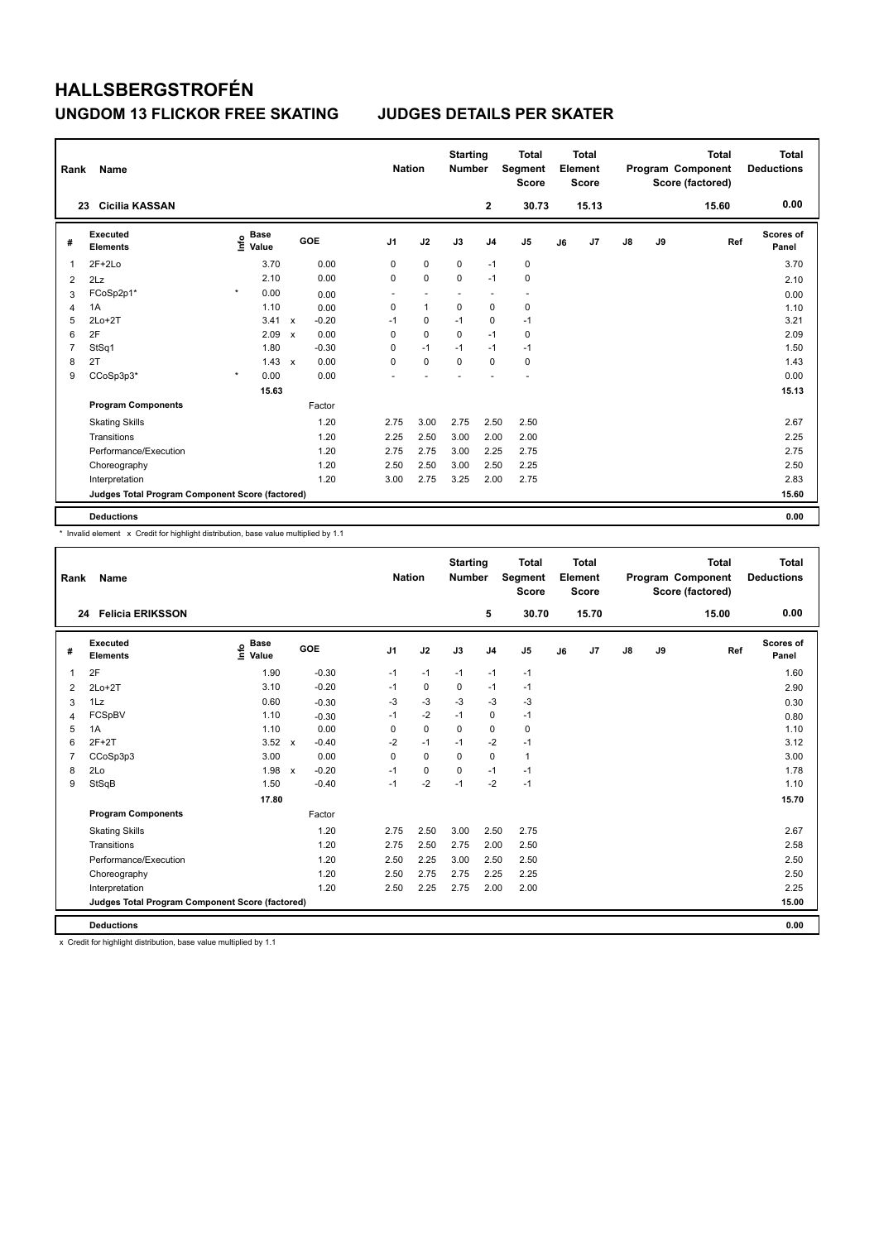| Rank | Name                                            |                                  |                                   | <b>Nation</b>  |              | <b>Starting</b><br><b>Number</b> |                | <b>Total</b><br>Segment<br><b>Score</b> |    | <b>Total</b><br>Element<br><b>Score</b> |               |    | <b>Total</b><br>Program Component<br>Score (factored) | <b>Total</b><br><b>Deductions</b> |
|------|-------------------------------------------------|----------------------------------|-----------------------------------|----------------|--------------|----------------------------------|----------------|-----------------------------------------|----|-----------------------------------------|---------------|----|-------------------------------------------------------|-----------------------------------|
|      | <b>Cicilia KASSAN</b><br>23                     |                                  |                                   |                |              |                                  | 2              | 30.73                                   |    | 15.13                                   |               |    | 15.60                                                 | 0.00                              |
| #    | <b>Executed</b><br><b>Elements</b>              | <b>Base</b><br>e Base<br>⊆ Value | <b>GOE</b>                        | J <sub>1</sub> | J2           | J3                               | J <sub>4</sub> | J <sub>5</sub>                          | J6 | J7                                      | $\mathsf{J}8$ | J9 | Ref                                                   | <b>Scores of</b><br>Panel         |
| 1    | $2F+2Lo$                                        | 3.70                             | 0.00                              | 0              | 0            | 0                                | $-1$           | 0                                       |    |                                         |               |    |                                                       | 3.70                              |
| 2    | 2Lz                                             | 2.10                             | 0.00                              | 0              | $\mathbf 0$  | 0                                | $-1$           | $\mathbf 0$                             |    |                                         |               |    |                                                       | 2.10                              |
| 3    | FCoSp2p1*                                       | $\star$<br>0.00                  | 0.00                              |                |              |                                  |                | -                                       |    |                                         |               |    |                                                       | 0.00                              |
| 4    | 1A                                              | 1.10                             | 0.00                              | 0              | $\mathbf{1}$ | $\mathbf 0$                      | $\mathbf 0$    | $\pmb{0}$                               |    |                                         |               |    |                                                       | 1.10                              |
| 5    | $2Lo+2T$                                        | 3.41                             | $-0.20$<br>$\mathsf{x}$           | $-1$           | 0            | $-1$                             | 0              | $-1$                                    |    |                                         |               |    |                                                       | 3.21                              |
| 6    | 2F                                              | 2.09                             | 0.00<br>X                         | 0              | $\mathbf 0$  | $\mathbf 0$                      | $-1$           | $\pmb{0}$                               |    |                                         |               |    |                                                       | 2.09                              |
| 7    | StSq1                                           | 1.80                             | $-0.30$                           | 0              | $-1$         | $-1$                             | $-1$           | $-1$                                    |    |                                         |               |    |                                                       | 1.50                              |
| 8    | 2T                                              | 1.43                             | 0.00<br>$\boldsymbol{\mathsf{x}}$ | 0              | $\mathbf 0$  | $\mathbf 0$                      | $\mathbf 0$    | $\pmb{0}$                               |    |                                         |               |    |                                                       | 1.43                              |
| 9    | CCoSp3p3*                                       | $\star$<br>0.00                  | 0.00                              |                |              |                                  |                |                                         |    |                                         |               |    |                                                       | 0.00                              |
|      |                                                 | 15.63                            |                                   |                |              |                                  |                |                                         |    |                                         |               |    |                                                       | 15.13                             |
|      | <b>Program Components</b>                       |                                  | Factor                            |                |              |                                  |                |                                         |    |                                         |               |    |                                                       |                                   |
|      | <b>Skating Skills</b>                           |                                  | 1.20                              | 2.75           | 3.00         | 2.75                             | 2.50           | 2.50                                    |    |                                         |               |    |                                                       | 2.67                              |
|      | Transitions                                     |                                  | 1.20                              | 2.25           | 2.50         | 3.00                             | 2.00           | 2.00                                    |    |                                         |               |    |                                                       | 2.25                              |
|      | Performance/Execution                           |                                  | 1.20                              | 2.75           | 2.75         | 3.00                             | 2.25           | 2.75                                    |    |                                         |               |    |                                                       | 2.75                              |
|      | Choreography                                    |                                  | 1.20                              | 2.50           | 2.50         | 3.00                             | 2.50           | 2.25                                    |    |                                         |               |    |                                                       | 2.50                              |
|      | Interpretation                                  |                                  | 1.20                              | 3.00           | 2.75         | 3.25                             | 2.00           | 2.75                                    |    |                                         |               |    |                                                       | 2.83                              |
|      | Judges Total Program Component Score (factored) |                                  |                                   |                |              |                                  |                |                                         |    |                                         |               |    |                                                       | 15.60                             |
|      | <b>Deductions</b>                               |                                  |                                   |                |              |                                  |                |                                         |    |                                         |               |    |                                                       | 0.00                              |

\* Invalid element x Credit for highlight distribution, base value multiplied by 1.1

| Rank           | <b>Name</b>                                     |                                  |                                      | <b>Nation</b>  |             | <b>Starting</b><br><b>Number</b> |                | <b>Total</b><br>Segment<br><b>Score</b> |    | Total<br>Element<br><b>Score</b> |    |    | <b>Total</b><br>Program Component<br>Score (factored) | Total<br><b>Deductions</b> |
|----------------|-------------------------------------------------|----------------------------------|--------------------------------------|----------------|-------------|----------------------------------|----------------|-----------------------------------------|----|----------------------------------|----|----|-------------------------------------------------------|----------------------------|
| 24             | <b>Felicia ERIKSSON</b>                         |                                  |                                      |                |             |                                  | 5              | 30.70                                   |    | 15.70                            |    |    | 15.00                                                 | 0.00                       |
| #              | Executed<br><b>Elements</b>                     | <b>Base</b><br>e Base<br>⊆ Value | GOE                                  | J <sub>1</sub> | J2          | J3                               | J <sub>4</sub> | J <sub>5</sub>                          | J6 | J7                               | J8 | J9 | Ref                                                   | Scores of<br>Panel         |
| $\overline{1}$ | 2F                                              | 1.90                             | $-0.30$                              | $-1$           | $-1$        | $-1$                             | $-1$           | $-1$                                    |    |                                  |    |    |                                                       | 1.60                       |
| 2              | $2Lo+2T$                                        | 3.10                             | $-0.20$                              | $-1$           | $\mathbf 0$ | 0                                | $-1$           | $-1$                                    |    |                                  |    |    |                                                       | 2.90                       |
| 3              | 1Lz                                             | 0.60                             | $-0.30$                              | -3             | $-3$        | -3                               | $-3$           | $-3$                                    |    |                                  |    |    |                                                       | 0.30                       |
| 4              | FCSpBV                                          | 1.10                             | $-0.30$                              | $-1$           | $-2$        | $-1$                             | $\mathbf 0$    | $-1$                                    |    |                                  |    |    |                                                       | 0.80                       |
| 5              | 1A                                              | 1.10                             | 0.00                                 | 0              | $\mathbf 0$ | $\mathbf 0$                      | $\mathbf 0$    | $\mathbf 0$                             |    |                                  |    |    |                                                       | 1.10                       |
| 6              | $2F+2T$                                         | 3.52                             | $-0.40$<br>$\boldsymbol{\mathsf{x}}$ | $-2$           | $-1$        | $-1$                             | $-2$           | $-1$                                    |    |                                  |    |    |                                                       | 3.12                       |
| $\overline{7}$ | CCoSp3p3                                        | 3.00                             | 0.00                                 | 0              | $\mathbf 0$ | $\Omega$                         | $\mathbf 0$    | $\mathbf{1}$                            |    |                                  |    |    |                                                       | 3.00                       |
| 8              | 2Lo                                             | 1.98                             | $-0.20$<br>$\boldsymbol{\mathsf{x}}$ | $-1$           | $\mathbf 0$ | 0                                | $-1$           | $-1$                                    |    |                                  |    |    |                                                       | 1.78                       |
| 9              | StSqB                                           | 1.50                             | $-0.40$                              | $-1$           | $-2$        | $-1$                             | $-2$           | $-1$                                    |    |                                  |    |    |                                                       | 1.10                       |
|                |                                                 | 17.80                            |                                      |                |             |                                  |                |                                         |    |                                  |    |    |                                                       | 15.70                      |
|                | <b>Program Components</b>                       |                                  | Factor                               |                |             |                                  |                |                                         |    |                                  |    |    |                                                       |                            |
|                | <b>Skating Skills</b>                           |                                  | 1.20                                 | 2.75           | 2.50        | 3.00                             | 2.50           | 2.75                                    |    |                                  |    |    |                                                       | 2.67                       |
|                | Transitions                                     |                                  | 1.20                                 | 2.75           | 2.50        | 2.75                             | 2.00           | 2.50                                    |    |                                  |    |    |                                                       | 2.58                       |
|                | Performance/Execution                           |                                  | 1.20                                 | 2.50           | 2.25        | 3.00                             | 2.50           | 2.50                                    |    |                                  |    |    |                                                       | 2.50                       |
|                | Choreography                                    |                                  | 1.20                                 | 2.50           | 2.75        | 2.75                             | 2.25           | 2.25                                    |    |                                  |    |    |                                                       | 2.50                       |
|                | Interpretation                                  |                                  | 1.20                                 | 2.50           | 2.25        | 2.75                             | 2.00           | 2.00                                    |    |                                  |    |    |                                                       | 2.25                       |
|                | Judges Total Program Component Score (factored) |                                  |                                      |                |             |                                  |                |                                         |    |                                  |    |    |                                                       | 15.00                      |
|                | <b>Deductions</b>                               |                                  |                                      |                |             |                                  |                |                                         |    |                                  |    |    |                                                       | 0.00                       |